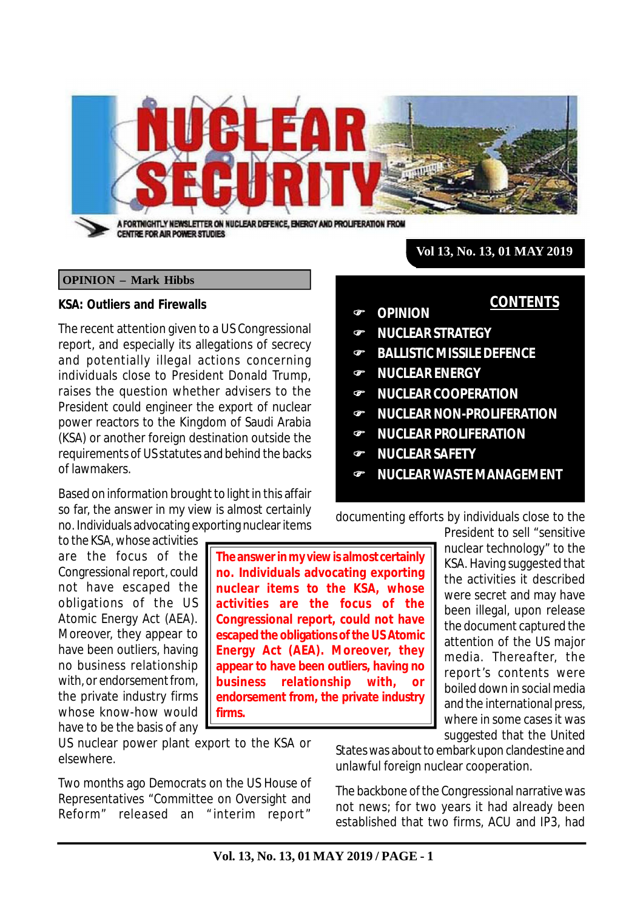

#### **OPINION – Mark Hibbs**

#### **KSA: Outliers and Firewalls**

The recent attention given to a US Congressional report, and especially its allegations of secrecy and potentially illegal actions concerning individuals close to President Donald Trump, raises the question whether advisers to the President could engineer the export of nuclear power reactors to the Kingdom of Saudi Arabia (KSA) or another foreign destination outside the requirements of US statutes and behind the backs of lawmakers.

Based on information brought to light in this affair so far, the answer in my view is almost certainly no. Individuals advocating exporting nuclear items

to the KSA, whose activities are the focus of the Congressional report, could not have escaped the obligations of the US Atomic Energy Act (AEA). Moreover, they appear to have been outliers, having no business relationship with, or endorsement from, the private industry firms whose know-how would have to be the basis of any

US nuclear power plant export to the KSA or elsewhere.

Two months ago Democrats on the US House of Representatives "Committee on Oversight and Reform" released an " interim report"

**The answer in my view is almost certainly no. Individuals advocating exporting nuclear items to the KSA, whose activities are the focus of the Congressional report, could not have escaped the obligations of the US Atomic Energy Act (AEA). Moreover, they appear to have been outliers, having no business relationship with, or endorsement from, the private industry firms.**

**Vol 13, No. 13, 01 MAY 2019**

**CONTENTS**

- **OPINION**
- **NUCLEAR STRATEGY**
- **BALLISTIC MISSILE DEFENCE**
- **NUCLEAR ENERGY**
- **NUCLEAR COOPERATION**
- **NUCLEAR NON-PROLIFERATION**
- **NUCLEAR PROLIFERATION**
- **NUCLEAR SAFETY**
- **NUCLEAR WASTE MANAGEMENT**

documenting efforts by individuals close to the

President to sell "sensitive nuclear technology" to the KSA. Having suggested that the activities it described were secret and may have been illegal, upon release the document captured the attention of the US major media. Thereafter, the report's contents were boiled down in social media and the international press, where in some cases it was suggested that the United

States was about to embark upon clandestine and unlawful foreign nuclear cooperation.

The backbone of the Congressional narrative was not news; for two years it had already been established that two firms, ACU and IP3, had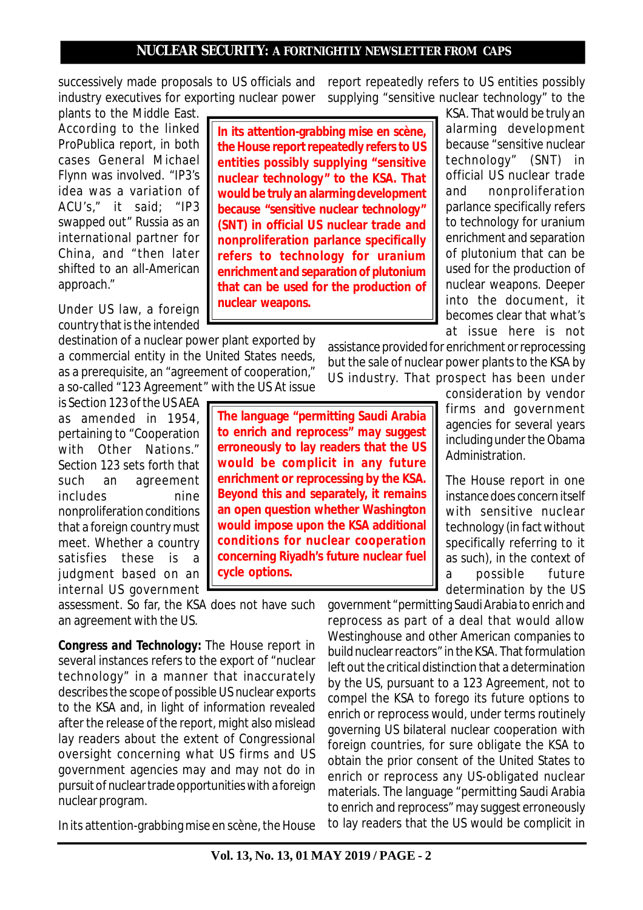successively made proposals to US officials and industry executives for exporting nuclear power

plants to the Middle East. According to the linked ProPublica report, in both cases General Michael Flynn was involved. "IP3's idea was a variation of ACU's," it said; "IP3 swapped out" Russia as an international partner for China, and "then later shifted to an all-American approach."

Under US law, a foreign country that is the intended

destination of a nuclear power plant exported by a commercial entity in the United States needs, as a prerequisite, an "agreement of cooperation," a so-called "123 Agreement" with the US At issue

is Section 123 of the US AEA as amended in 1954, pertaining to "Cooperation with Other Nations." Section 123 sets forth that such an agreement includes nine nonproliferation conditions that a foreign country must meet. Whether a country satisfies these is a judgment based on an internal US government

assessment. So far, the KSA does not have such an agreement with the US.

*Congress and Technology:* The House report in several instances refers to the export of "nuclear technology" in a manner that inaccurately describes the scope of possible US nuclear exports to the KSA and, in light of information revealed after the release of the report, might also mislead lay readers about the extent of Congressional oversight concerning what US firms and US government agencies may and may not do in pursuit of nuclear trade opportunities with a foreign nuclear program.

In its attention-grabbing mise en scène, the House

**In its attention-grabbing mise en scène, the House report repeatedly refers to US entities possibly supplying "sensitive nuclear technology" to the KSA. That would be truly an alarming development because "sensitive nuclear technology" (SNT) in official US nuclear trade and nonproliferation parlance specifically refers to technology for uranium enrichment and separation of plutonium that can be used for the production of nuclear weapons.**

report repeatedly refers to US entities possibly supplying "sensitive nuclear technology" to the

> KSA. That would be truly an alarming development because "sensitive nuclear technology" (SNT) in official US nuclear trade and nonproliferation parlance specifically refers to technology for uranium enrichment and separation of plutonium that can be used for the production of nuclear weapons. Deeper into the document, it becomes clear that what's at issue here is not

assistance provided for enrichment or reprocessing but the sale of nuclear power plants to the KSA by US industry. That prospect has been under

**The language "permitting Saudi Arabia to enrich and reprocess" may suggest erroneously to lay readers that the US would be complicit in any future enrichment or reprocessing by the KSA. Beyond this and separately, it remains an open question whether Washington would impose upon the KSA additional conditions for nuclear cooperation concerning Riyadh's future nuclear fuel cycle options.**

consideration by vendor firms and government agencies for several years including under the Obama Administration.

The House report in one instance does concern itself with sensitive nuclear technology (in fact without specifically referring to it as such), in the context of a possible future determination by the US

government "permitting Saudi Arabia to enrich and reprocess as part of a deal that would allow Westinghouse and other American companies to build nuclear reactors" in the KSA. That formulation left out the critical distinction that a determination by the US, pursuant to a 123 Agreement, not to compel the KSA to forego its future options to enrich or reprocess would, under terms routinely governing US bilateral nuclear cooperation with foreign countries, for sure obligate the KSA to obtain the prior consent of the United States to enrich or reprocess any US-obligated nuclear materials. The language "permitting Saudi Arabia to enrich and reprocess" may suggest erroneously to lay readers that the US would be complicit in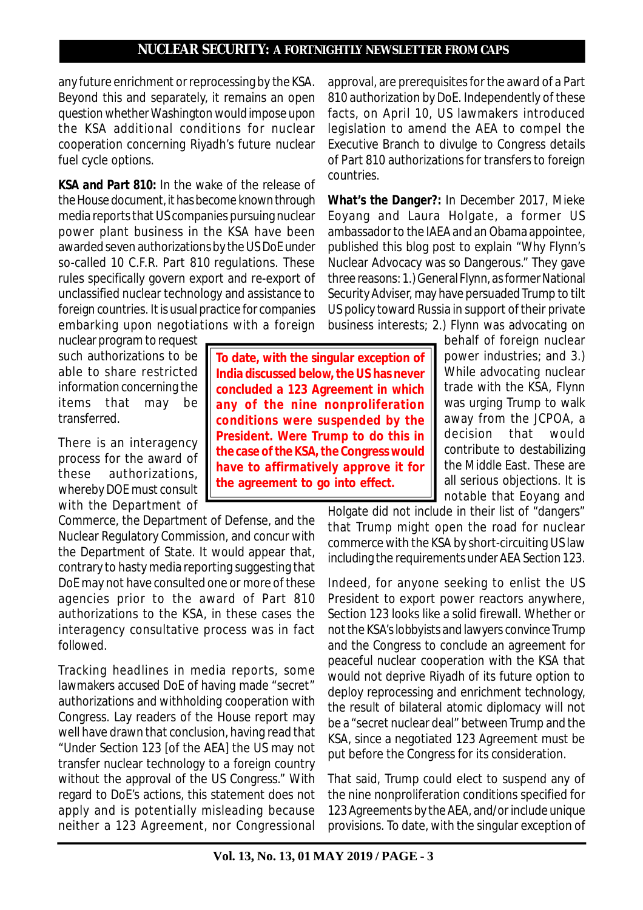any future enrichment or reprocessing by the KSA. Beyond this and separately, it remains an open question whether Washington would impose upon the KSA additional conditions for nuclear cooperation concerning Riyadh's future nuclear fuel cycle options.

*KSA and Part 810:* In the wake of the release of the House document, it has become known through media reports that US companies pursuing nuclear power plant business in the KSA have been awarded seven authorizations by the US DoE under so-called 10 C.F.R. Part 810 regulations. These rules specifically govern export and re-export of unclassified nuclear technology and assistance to foreign countries. It is usual practice for companies embarking upon negotiations with a foreign

nuclear program to request such authorizations to be able to share restricted information concerning the items that may be transferred.

There is an interagency process for the award of these authorizations, whereby DOE must consult with the Department of

Commerce, the Department of Defense, and the Nuclear Regulatory Commission, and concur with the Department of State. It would appear that, contrary to hasty media reporting suggesting that DoE may not have consulted one or more of these agencies prior to the award of Part 810 authorizations to the KSA, in these cases the interagency consultative process was in fact followed.

Tracking headlines in media reports, some lawmakers accused DoE of having made "secret" authorizations and withholding cooperation with Congress. Lay readers of the House report may well have drawn that conclusion, having read that "Under Section 123 [of the AEA] the US may not transfer nuclear technology to a foreign country without the approval of the US Congress." With regard to DoE's actions, this statement does not apply and is potentially misleading because neither a 123 Agreement, nor Congressional

approval, are prerequisites for the award of a Part 810 authorization by DoE. Independently of these facts, on April 10, US lawmakers introduced legislation to amend the AEA to compel the Executive Branch to divulge to Congress details of Part 810 authorizations for transfers to foreign countries.

*What's the Danger?:* In December 2017, Mieke Eoyang and Laura Holgate, a former US ambassador to the IAEA and an Obama appointee, published this blog post to explain "Why Flynn's Nuclear Advocacy was so Dangerous." They gave three reasons: 1.) General Flynn, as former National Security Adviser, may have persuaded Trump to tilt US policy toward Russia in support of their private business interests; 2.) Flynn was advocating on

> behalf of foreign nuclear power industries; and 3.) While advocating nuclear trade with the KSA, Flynn was urging Trump to walk away from the JCPOA, a decision that would contribute to destabilizing the Middle East. These are all serious objections. It is notable that Eoyang and

Holgate did not include in their list of "dangers" that Trump might open the road for nuclear commerce with the KSA by short-circuiting US law including the requirements under AEA Section 123.

Indeed, for anyone seeking to enlist the US President to export power reactors anywhere, Section 123 looks like a solid firewall. Whether or not the KSA's lobbyists and lawyers convince Trump and the Congress to conclude an agreement for peaceful nuclear cooperation with the KSA that would not deprive Riyadh of its future option to deploy reprocessing and enrichment technology, the result of bilateral atomic diplomacy will not be a "secret nuclear deal" between Trump and the KSA, since a negotiated 123 Agreement must be put before the Congress for its consideration.

That said, Trump could elect to suspend any of the nine nonproliferation conditions specified for 123 Agreements by the AEA, and/or include unique provisions. To date, with the singular exception of

**President. Were Trump to do this in the case of the KSA, the Congress would have to affirmatively approve it for the agreement to go into effect.**

**To date, with the singular exception of India discussed below, the US has never concluded a 123 Agreement in which any of the nine nonproliferation conditions were suspended by the**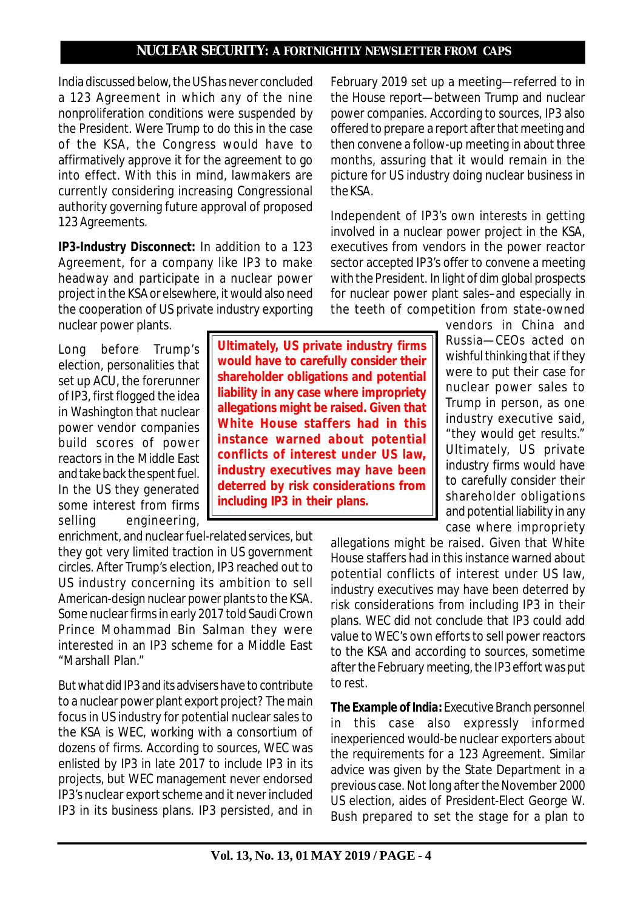**Ultimately, US private industry firms would have to carefully consider their shareholder obligations and potential liability in any case where impropriety allegations might be raised. Given that White House staffers had in this instance warned about potential conflicts of interest under US law, industry executives may have been deterred by risk considerations from**

**including IP3 in their plans.**

India discussed below, the US has never concluded a 123 Agreement in which any of the nine nonproliferation conditions were suspended by the President. Were Trump to do this in the case of the KSA, the Congress would have to affirmatively approve it for the agreement to go into effect. With this in mind, lawmakers are currently considering increasing Congressional authority governing future approval of proposed 123 Agreements.

*IP3-Industry Disconnect:* In addition to a 123 Agreement, for a company like IP3 to make headway and participate in a nuclear power project in the KSA or elsewhere, it would also need the cooperation of US private industry exporting nuclear power plants.

Long before Trump's election, personalities that set up ACU, the forerunner of IP3, first flogged the idea in Washington that nuclear power vendor companies build scores of power reactors in the Middle East and take back the spent fuel. In the US they generated some interest from firms selling engineering,

enrichment, and nuclear fuel-related services, but they got very limited traction in US government circles. After Trump's election, IP3 reached out to US industry concerning its ambition to sell American-design nuclear power plants to the KSA. Some nuclear firms in early 2017 told Saudi Crown Prince Mohammad Bin Salman they were interested in an IP3 scheme for a Middle East "Marshall Plan."

But what did IP3 and its advisers have to contribute to a nuclear power plant export project? The main focus in US industry for potential nuclear sales to the KSA is WEC, working with a consortium of dozens of firms. According to sources, WEC was enlisted by IP3 in late 2017 to include IP3 in its projects, but WEC management never endorsed IP3's nuclear export scheme and it never included IP3 in its business plans. IP3 persisted, and in

February 2019 set up a meeting—referred to in the House report—between Trump and nuclear power companies. According to sources, IP3 also offered to prepare a report after that meeting and then convene a follow-up meeting in about three months, assuring that it would remain in the picture for US industry doing nuclear business in the KSA.

Independent of IP3's own interests in getting involved in a nuclear power project in the KSA, executives from vendors in the power reactor sector accepted IP3's offer to convene a meeting with the President. In light of dim global prospects for nuclear power plant sales–and especially in the teeth of competition from state-owned

> vendors in China and Russia—CEOs acted on wishful thinking that if they were to put their case for nuclear power sales to Trump in person, as one industry executive said, "they would get results." Ultimately, US private industry firms would have to carefully consider their shareholder obligations and potential liability in any case where impropriety

allegations might be raised. Given that White House staffers had in this instance warned about potential conflicts of interest under US law, industry executives may have been deterred by risk considerations from including IP3 in their plans. WEC did not conclude that IP3 could add value to WEC's own efforts to sell power reactors to the KSA and according to sources, sometime after the February meeting, the IP3 effort was put to rest.

*The Example of India:* Executive Branch personnel in this case also expressly informed inexperienced would-be nuclear exporters about the requirements for a 123 Agreement. Similar advice was given by the State Department in a previous case. Not long after the November 2000 US election, aides of President-Elect George W. Bush prepared to set the stage for a plan to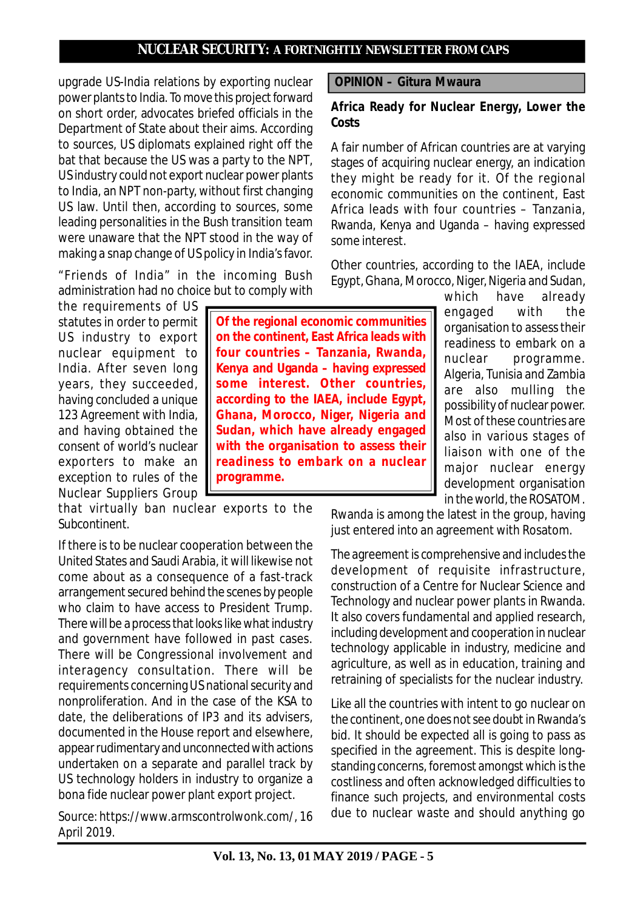upgrade US-India relations by exporting nuclear power plants to India. To move this project forward on short order, advocates briefed officials in the Department of State about their aims. According to sources, US diplomats explained right off the bat that because the US was a party to the NPT, US industry could not export nuclear power plants to India, an NPT non-party, without first changing US law. Until then, according to sources, some leading personalities in the Bush transition team were unaware that the NPT stood in the way of making a snap change of US policy in India's favor.

"Friends of India" in the incoming Bush administration had no choice but to comply with

the requirements of US statutes in order to permit US industry to export nuclear equipment to India. After seven long years, they succeeded, having concluded a unique 123 Agreement with India, and having obtained the consent of world's nuclear exporters to make an exception to rules of the Nuclear Suppliers Group

that virtually ban nuclear exports to the Subcontinent.

If there is to be nuclear cooperation between the United States and Saudi Arabia, it will likewise not come about as a consequence of a fast-track arrangement secured behind the scenes by people who claim to have access to President Trump. There will be a process that looks like what industry and government have followed in past cases. There will be Congressional involvement and interagency consultation. There will be requirements concerning US national security and nonproliferation. And in the case of the KSA to date, the deliberations of IP3 and its advisers, documented in the House report and elsewhere, appear rudimentary and unconnected with actions undertaken on a separate and parallel track by US technology holders in industry to organize a bona fide nuclear power plant export project.

*Source: https://www.armscontrolwonk.com/, 16 April 2019.*

 **OPINION – Gitura Mwaura**

#### **Africa Ready for Nuclear Energy, Lower the Costs**

A fair number of African countries are at varying stages of acquiring nuclear energy, an indication they might be ready for it. Of the regional economic communities on the continent, East Africa leads with four countries – Tanzania, Rwanda, Kenya and Uganda – having expressed some interest.

Other countries, according to the IAEA, include Egypt, Ghana, Morocco, Niger, Nigeria and Sudan,

which have already engaged with the organisation to assess their readiness to embark on a nuclear programme. Algeria, Tunisia and Zambia are also mulling the possibility of nuclear power. Most of these countries are also in various stages of liaison with one of the major nuclear energy development organisation in the world, the ROSATOM.

**Of the regional economic communities on the continent, East Africa leads with four countries – Tanzania, Rwanda, Kenya and Uganda – having expressed some interest. Other countries, according to the IAEA, include Egypt, Ghana, Morocco, Niger, Nigeria and Sudan, which have already engaged with the organisation to assess their readiness to embark on a nuclear programme.**

> Rwanda is among the latest in the group, having just entered into an agreement with Rosatom.

The agreement is comprehensive and includes the development of requisite infrastructure, construction of a Centre for Nuclear Science and Technology and nuclear power plants in Rwanda. It also covers fundamental and applied research, including development and cooperation in nuclear technology applicable in industry, medicine and agriculture, as well as in education, training and retraining of specialists for the nuclear industry.

Like all the countries with intent to go nuclear on the continent, one does not see doubt in Rwanda's bid. It should be expected all is going to pass as specified in the agreement. This is despite longstanding concerns, foremost amongst which is the costliness and often acknowledged difficulties to finance such projects, and environmental costs due to nuclear waste and should anything go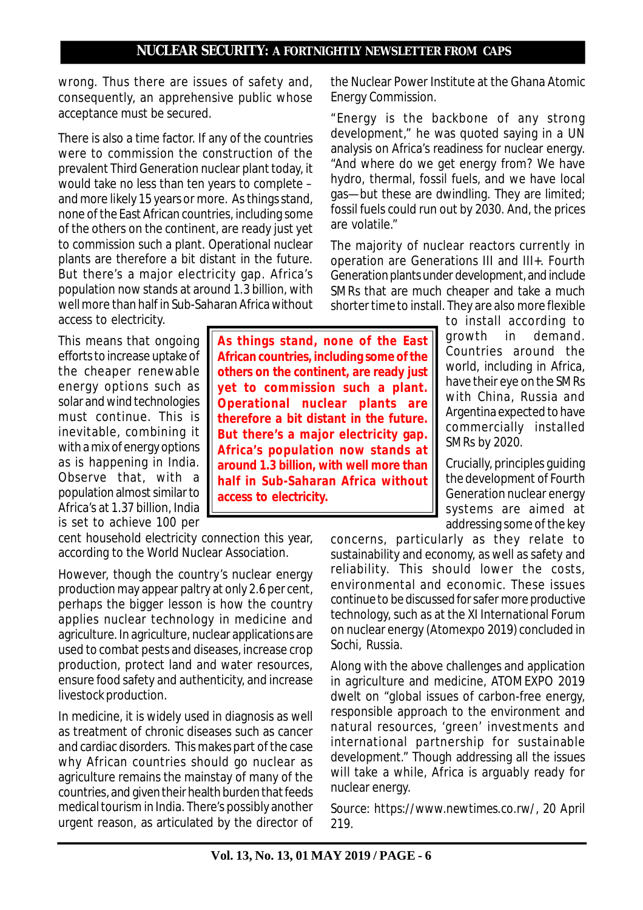wrong. Thus there are issues of safety and, consequently, an apprehensive public whose acceptance must be secured.

There is also a time factor. If any of the countries were to commission the construction of the prevalent Third Generation nuclear plant today, it would take no less than ten years to complete – and more likely 15 years or more. As things stand, none of the East African countries, including some of the others on the continent, are ready just yet to commission such a plant. Operational nuclear plants are therefore a bit distant in the future. But there's a major electricity gap. Africa's population now stands at around 1.3 billion, with well more than half in Sub-Saharan Africa without access to electricity.

This means that ongoing efforts to increase uptake of the cheaper renewable energy options such as solar and wind technologies must continue. This is inevitable, combining it with a mix of energy options as is happening in India. Observe that, with a population almost similar to Africa's at 1.37 billion, India is set to achieve 100 per

cent household electricity connection this year, according to the World Nuclear Association.

However, though the country's nuclear energy production may appear paltry at only 2.6 per cent, perhaps the bigger lesson is how the country applies nuclear technology in medicine and agriculture. In agriculture, nuclear applications are used to combat pests and diseases, increase crop production, protect land and water resources, ensure food safety and authenticity, and increase livestock production.

In medicine, it is widely used in diagnosis as well as treatment of chronic diseases such as cancer and cardiac disorders. This makes part of the case why African countries should go nuclear as agriculture remains the mainstay of many of the countries, and given their health burden that feeds medical tourism in India. There's possibly another urgent reason, as articulated by the director of the Nuclear Power Institute at the Ghana Atomic Energy Commission.

"Energy is the backbone of any strong development," he was quoted saying in a UN analysis on Africa's readiness for nuclear energy. "And where do we get energy from? We have hydro, thermal, fossil fuels, and we have local gas—but these are dwindling. They are limited; fossil fuels could run out by 2030. And, the prices are volatile."

The majority of nuclear reactors currently in operation are Generations III and III+. Fourth Generation plants under development, and include SMRs that are much cheaper and take a much shorter time to install. They are also more flexible

> to install according to growth in demand. Countries around the world, including in Africa, have their eye on the SMRs with China, Russia and Argentina expected to have commercially installed SMRs by 2020.

Crucially, principles guiding the development of Fourth Generation nuclear energy systems are aimed at addressing some of the key

concerns, particularly as they relate to sustainability and economy, as well as safety and reliability. This should lower the costs, environmental and economic. These issues continue to be discussed for safer more productive technology, such as at the XI International Forum on nuclear energy (Atomexpo 2019) concluded in Sochi, Russia.

Along with the above challenges and application in agriculture and medicine, ATOMEXPO 2019 dwelt on "global issues of carbon-free energy, responsible approach to the environment and natural resources, 'green' investments and international partnership for sustainable development." Though addressing all the issues will take a while, Africa is arguably ready for nuclear energy.

*Source: https://www.newtimes.co.rw/, 20 April 219.*

**As things stand, none of the East African countries, including some of the others on the continent, are ready just yet to commission such a plant. Operational nuclear plants are therefore a bit distant in the future. But there's a major electricity gap. Africa's population now stands at around 1.3 billion, with well more than half in Sub-Saharan Africa without access to electricity.**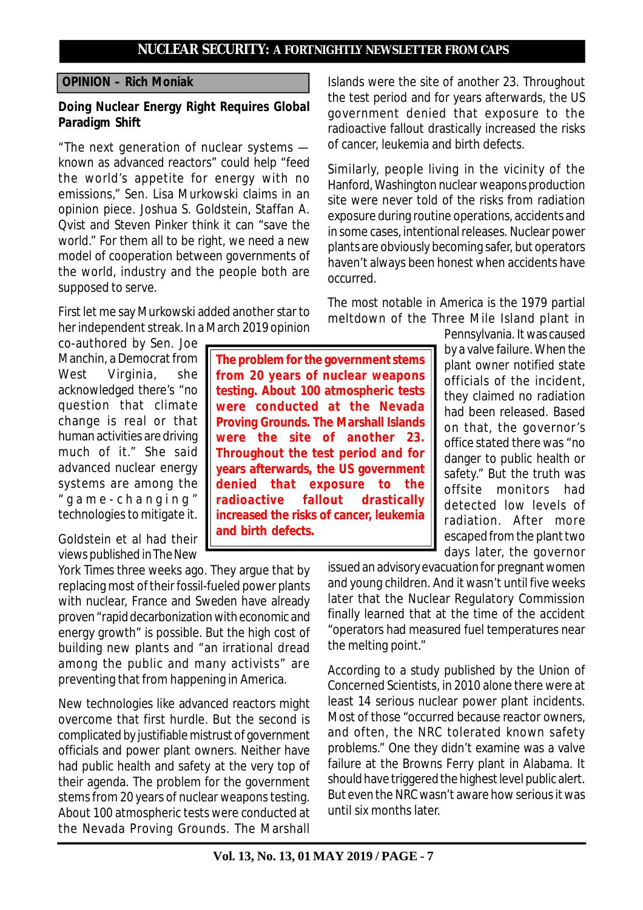#### **OPINION – Rich Moniak**

#### **Doing Nuclear Energy Right Requires Global Paradigm Shift**

"The next generation of nuclear systems known as advanced reactors" could help "feed the world's appetite for energy with no emissions," Sen. Lisa Murkowski claims in an opinion piece. Joshua S. Goldstein, Staffan A. Qvist and Steven Pinker think it can "save the world." For them all to be right, we need a new model of cooperation between governments of the world, industry and the people both are supposed to serve.

First let me say Murkowski added another star to her independent streak. In a March 2019 opinion

co-authored by Sen. Joe Manchin, a Democrat from West Virginia, she acknowledged there's "no question that climate change is real or that human activities are driving much of it." She said advanced nuclear energy systems are among the " g a m e - c h a n g i n g " technologies to mitigate it.

Goldstein et al had their views published in *The New*

*York Times* three weeks ago. They argue that by replacing most of their fossil-fueled power plants with nuclear, France and Sweden have already proven "rapid decarbonization with economic and energy growth" is possible. But the high cost of building new plants and "an irrational dread among the public and many activists" are preventing that from happening in America.

New technologies like advanced reactors might overcome that first hurdle. But the second is complicated by justifiable mistrust of government officials and power plant owners. Neither have had public health and safety at the very top of their agenda. The problem for the government stems from 20 years of nuclear weapons testing. About 100 atmospheric tests were conducted at the Nevada Proving Grounds. The Marshall

Islands were the site of another 23. Throughout the test period and for years afterwards, the US government denied that exposure to the radioactive fallout drastically increased the risks of cancer, leukemia and birth defects.

Similarly, people living in the vicinity of the Hanford, Washington nuclear weapons production site were never told of the risks from radiation exposure during routine operations, accidents and in some cases, intentional releases. Nuclear power plants are obviously becoming safer, but operators haven't always been honest when accidents have occurred.

The most notable in America is the 1979 partial meltdown of the Three Mile Island plant in

**The problem for the government stems from 20 years of nuclear weapons testing. About 100 atmospheric tests were conducted at the Nevada Proving Grounds. The Marshall Islands were the site of another 23. Throughout the test period and for years afterwards, the US government denied that exposure to the radioactive fallout drastically increased the risks of cancer, leukemia and birth defects.**

Pennsylvania. It was caused by a valve failure. When the plant owner notified state officials of the incident, they claimed no radiation had been released. Based on that, the governor's office stated there was "no danger to public health or safety." But the truth was offsite monitors had detected low levels of radiation. After more escaped from the plant two days later, the governor

issued an advisory evacuation for pregnant women and young children. And it wasn't until five weeks later that the Nuclear Regulatory Commission finally learned that at the time of the accident "operators had measured fuel temperatures near the melting point."

According to a study published by the Union of Concerned Scientists, in 2010 alone there were at least 14 serious nuclear power plant incidents. Most of those "occurred because reactor owners, and often, the NRC tolerated known safety problems." One they didn't examine was a valve failure at the Browns Ferry plant in Alabama. It should have triggered the highest level public alert. But even the NRC wasn't aware how serious it was until six months later.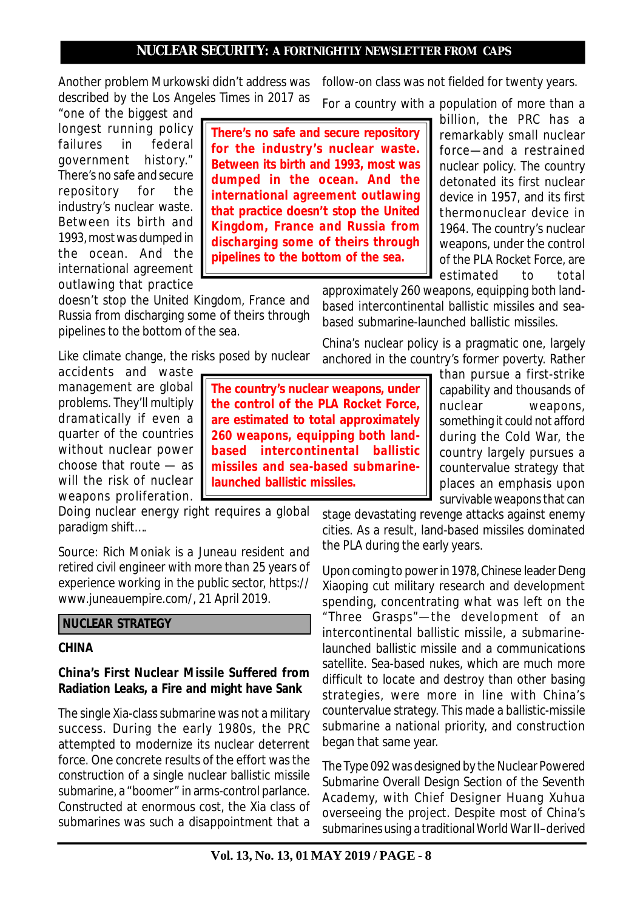Another problem Murkowski didn't address was described by the *Los Angeles Times* in 2017 as

"one of the biggest and longest running policy failures in federal government history." There's no safe and secure repository for the industry's nuclear waste. Between its birth and 1993, most was dumped in the ocean. And the international agreement outlawing that practice

doesn't stop the United Kingdom, France and Russia from discharging some of theirs through pipelines to the bottom of the sea.

Like climate change, the risks posed by nuclear

accidents and waste management are global problems. They'll multiply dramatically if even a quarter of the countries without nuclear power choose that route — as will the risk of nuclear weapons proliferation.

Doing nuclear energy right requires a global paradigm shift….

*Source: Rich Moniak is a Juneau resident and retired civil engineer with more than 25 years of experience working in the public sector, https:// www.juneauempire.com/, 21 April 2019.*

#### **NUCLEAR STRATEGY**

#### **CHINA**

#### **China's First Nuclear Missile Suffered from Radiation Leaks, a Fire and might have Sank**

The single Xia-class submarine was not a military success. During the early 1980s, the PRC attempted to modernize its nuclear deterrent force. One concrete results of the effort was the construction of a single nuclear ballistic missile submarine, a "boomer" in arms-control parlance. Constructed at enormous cost, the Xia class of submarines was such a disappointment that a follow-on class was not fielded for twenty years.

For a country with a population of more than a

**There's no safe and secure repository for the industry's nuclear waste. Between its birth and 1993, most was dumped in the ocean. And the international agreement outlawing that practice doesn't stop the United Kingdom, France and Russia from discharging some of theirs through pipelines to the bottom of the sea.**

**The country's nuclear weapons, under the control of the PLA Rocket Force, are estimated to total approximately 260 weapons, equipping both landbased intercontinental ballistic missiles and sea-based submarine-**

**launched ballistic missiles.**

billion, the PRC has a remarkably small nuclear force—and a restrained nuclear policy. The country detonated its first nuclear device in 1957, and its first thermonuclear device in 1964. The country's nuclear weapons, under the control of the PLA Rocket Force, are estimated to total

approximately 260 weapons, equipping both landbased intercontinental ballistic missiles and seabased submarine-launched ballistic missiles.

China's nuclear policy is a pragmatic one, largely anchored in the country's former poverty. Rather

> than pursue a first-strike capability and thousands of nuclear weapons, something it could not afford during the Cold War, the country largely pursues a countervalue strategy that places an emphasis upon survivable weapons that can

stage devastating revenge attacks against enemy cities. As a result, land-based missiles dominated the PLA during the early years.

Upon coming to power in 1978, Chinese leader Deng Xiaoping cut military research and development spending, concentrating what was left on the "Three Grasps"—the development of an intercontinental ballistic missile, a submarinelaunched ballistic missile and a communications satellite. Sea-based nukes, which are much more difficult to locate and destroy than other basing strategies, were more in line with China's countervalue strategy. This made a ballistic-missile submarine a national priority, and construction began that same year.

The Type 092 was designed by the Nuclear Powered Submarine Overall Design Section of the Seventh Academy, with Chief Designer Huang Xuhua overseeing the project. Despite most of China's submarines using a traditional World War II–derived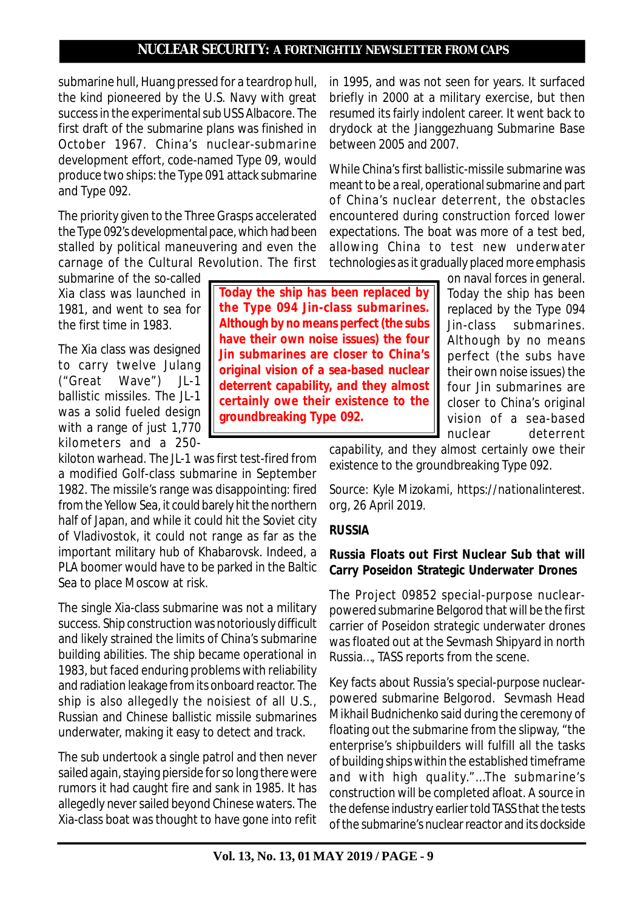**Today the ship has been replaced by the Type 094 Jin-class submarines. Although by no means perfect (the subs have their own noise issues) the four Jin submarines are closer to China's original vision of a sea-based nuclear deterrent capability, and they almost certainly owe their existence to the**

**groundbreaking Type 092.**

submarine hull, Huang pressed for a teardrop hull, the kind pioneered by the U.S. Navy with great success in the experimental sub USS Albacore. The first draft of the submarine plans was finished in October 1967. China's nuclear-submarine development effort, code-named Type 09, would produce two ships: the Type 091 attack submarine and Type 092.

The priority given to the Three Grasps accelerated the Type 092's developmental pace, which had been stalled by political maneuvering and even the carnage of the Cultural Revolution. The first

submarine of the so-called Xia class was launched in 1981, and went to sea for the first time in 1983.

The Xia class was designed to carry twelve Julang ("Great Wave") JL-1 ballistic missiles. The JL-1 was a solid fueled design with a range of just 1,770 kilometers and a 250-

kiloton warhead. The JL-1 was first test-fired from a modified Golf-class submarine in September 1982. The missile's range was disappointing: fired from the Yellow Sea, it could barely hit the northern half of Japan, and while it could hit the Soviet city of Vladivostok, it could not range as far as the important military hub of Khabarovsk. Indeed, a PLA boomer would have to be parked in the Baltic Sea to place Moscow at risk.

The single Xia-class submarine was not a military success. Ship construction was notoriously difficult and likely strained the limits of China's submarine building abilities. The ship became operational in 1983, but faced enduring problems with reliability and radiation leakage from its onboard reactor. The ship is also allegedly the noisiest of all U.S., Russian and Chinese ballistic missile submarines underwater, making it easy to detect and track.

The sub undertook a single patrol and then never sailed again, staying pierside for so long there were rumors it had caught fire and sank in 1985. It has allegedly never sailed beyond Chinese waters. The Xia-class boat was thought to have gone into refit

in 1995, and was not seen for years. It surfaced briefly in 2000 at a military exercise, but then resumed its fairly indolent career. It went back to drydock at the Jianggezhuang Submarine Base between 2005 and 2007.

While China's first ballistic-missile submarine was meant to be a real, operational submarine and part of China's nuclear deterrent, the obstacles encountered during construction forced lower expectations. The boat was more of a test bed, allowing China to test new underwater technologies as it gradually placed more emphasis

on naval forces in general. Today the ship has been replaced by the Type 094 Jin-class submarines. Although by no means perfect (the subs have their own noise issues) the four Jin submarines are closer to China's original vision of a sea-based nuclear deterrent

capability, and they almost certainly owe their existence to the groundbreaking Type 092.

*Source: Kyle Mizokami, https://nationalinterest. org, 26 April 2019.*

#### **RUSSIA**

#### **Russia Floats out First Nuclear Sub that will Carry Poseidon Strategic Underwater Drones**

The Project 09852 special-purpose nuclearpowered submarine Belgorod that will be the first carrier of Poseidon strategic underwater drones was floated out at the Sevmash Shipyard in north Russia…, TASS reports from the scene.

Key facts about Russia's special-purpose nuclearpowered submarine Belgorod. Sevmash Head Mikhail Budnichenko said during the ceremony of floating out the submarine from the slipway, "the enterprise's shipbuilders will fulfill all the tasks of building ships within the established timeframe and with high quality."…The submarine's construction will be completed afloat. A source in the defense industry earlier told TASS that the tests of the submarine's nuclear reactor and its dockside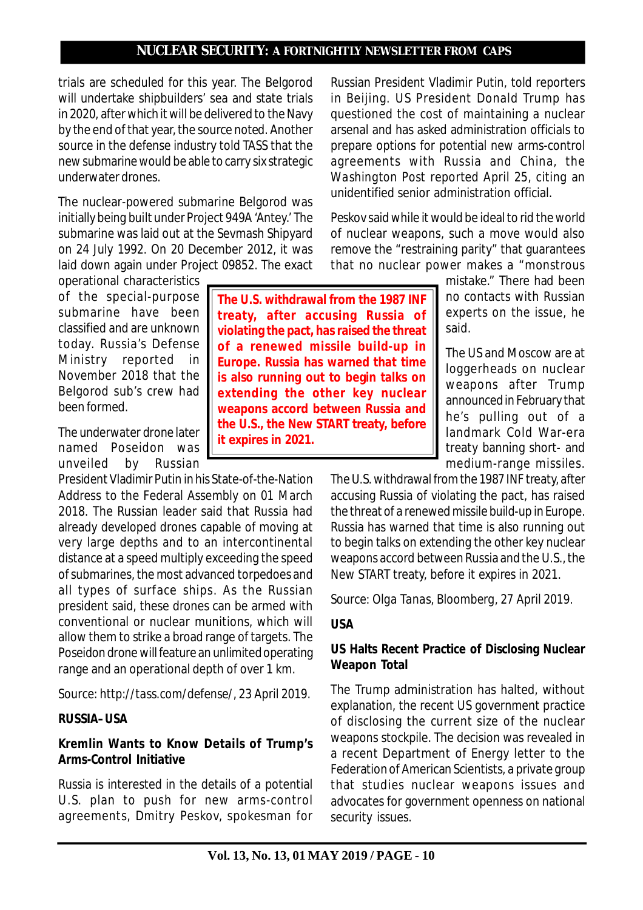trials are scheduled for this year. The Belgorod will undertake shipbuilders' sea and state trials in 2020, after which it will be delivered to the Navy by the end of that year, the source noted. Another source in the defense industry told TASS that the new submarine would be able to carry six strategic underwater drones.

The nuclear-powered submarine Belgorod was initially being built under Project 949A 'Antey.' The submarine was laid out at the Sevmash Shipyard on 24 July 1992. On 20 December 2012, it was laid down again under Project 09852. The exact

operational characteristics of the special-purpose submarine have been classified and are unknown today. Russia's Defense Ministry reported in November 2018 that the Belgorod sub's crew had been formed.

The underwater drone later named Poseidon was unveiled by Russian

President Vladimir Putin in his State-of-the-Nation Address to the Federal Assembly on 01 March 2018. The Russian leader said that Russia had already developed drones capable of moving at very large depths and to an intercontinental distance at a speed multiply exceeding the speed of submarines, the most advanced torpedoes and all types of surface ships. As the Russian president said, these drones can be armed with conventional or nuclear munitions, which will allow them to strike a broad range of targets. The Poseidon drone will feature an unlimited operating range and an operational depth of over 1 km.

*Source: http://tass.com/defense/, 23 April 2019.*

#### **RUSSIA–USA**

### **Kremlin Wants to Know Details of Trump's Arms-Control Initiative**

Russia is interested in the details of a potential U.S. plan to push for new arms-control agreements, Dmitry Peskov, spokesman for Russian President Vladimir Putin, told reporters in Beijing. US President Donald Trump has questioned the cost of maintaining a nuclear arsenal and has asked administration officials to prepare options for potential new arms-control agreements with Russia and China, the *Washington Post* reported April 25, citing an unidentified senior administration official.

Peskov said while it would be ideal to rid the world of nuclear weapons, such a move would also remove the "restraining parity" that guarantees that no nuclear power makes a "monstrous

> mistake." There had been no contacts with Russian experts on the issue, he said.

> The US and Moscow are at loggerheads on nuclear weapons after Trump announced in February that he's pulling out of a landmark Cold War-era treaty banning short- and medium-range missiles.

The U.S. withdrawal from the 1987 INF treaty, after accusing Russia of violating the pact, has raised the threat of a renewed missile build-up in Europe. Russia has warned that time is also running out to begin talks on extending the other key nuclear weapons accord between Russia and the U.S., the New START treaty, before it expires in 2021.

*Source: Olga Tanas, Bloomberg, 27 April 2019.*

#### **USA**

### **US Halts Recent Practice of Disclosing Nuclear Weapon Total**

The Trump administration has halted, without explanation, the recent US government practice of disclosing the current size of the nuclear weapons stockpile. The decision was revealed in a recent Department of Energy letter to the Federation of American Scientists, a private group that studies nuclear weapons issues and advocates for government openness on national security issues.

**The U.S. withdrawal from the 1987 INF treaty, after accusing Russia of violating the pact, has raised the threat of a renewed missile build-up in Europe. Russia has warned that time is also running out to begin talks on extending the other key nuclear weapons accord between Russia and the U.S., the New START treaty, before it expires in 2021.**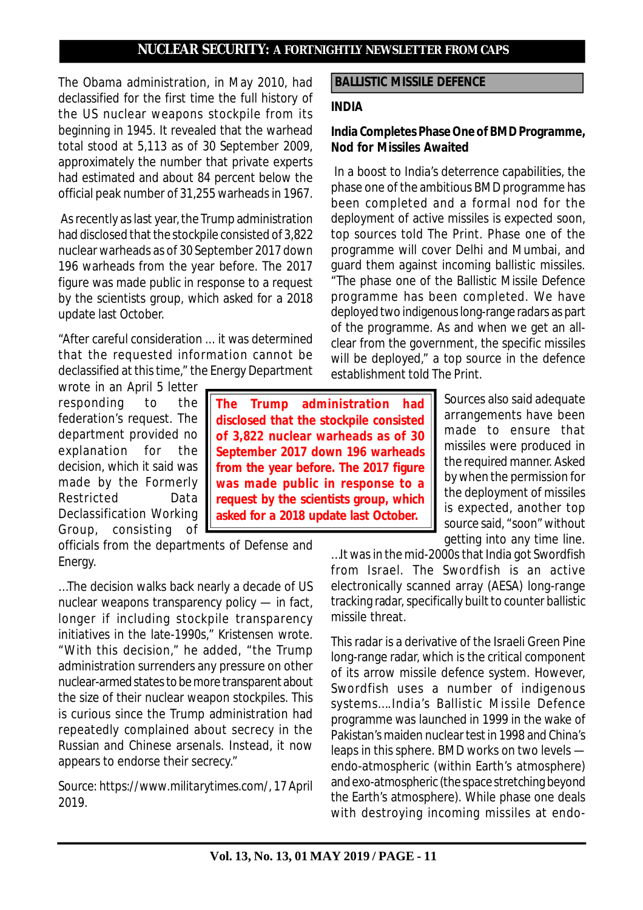The Obama administration, in May 2010, had declassified for the first time the full history of the US nuclear weapons stockpile from its beginning in 1945. It revealed that the warhead total stood at 5,113 as of 30 September 2009, approximately the number that private experts had estimated and about 84 percent below the official peak number of 31,255 warheads in 1967.

As recently as last year, the Trump administration had disclosed that the stockpile consisted of 3,822 nuclear warheads as of 30 September 2017 down 196 warheads from the year before. The 2017 figure was made public in response to a request by the scientists group, which asked for a 2018 update last October.

"After careful consideration ... it was determined that the requested information cannot be declassified at this time," the Energy Department

wrote in an April 5 letter responding to the federation's request. The department provided no explanation for the decision, which it said was made by the Formerly Restricted Data Declassification Working Group, consisting of

officials from the departments of Defense and Energy.

…The decision walks back nearly a decade of US nuclear weapons transparency policy — in fact, longer if including stockpile transparency initiatives in the late-1990s," Kristensen wrote. "With this decision," he added, "the Trump administration surrenders any pressure on other nuclear-armed states to be more transparent about the size of their nuclear weapon stockpiles. This is curious since the Trump administration had repeatedly complained about secrecy in the Russian and Chinese arsenals. Instead, it now appears to endorse their secrecy."

*Source: https://www.militarytimes.com/, 17 April 2019.*

 **BALLISTIC MISSILE DEFENCE**

#### **INDIA**

#### **India Completes Phase One of BMD Programme, Nod for Missiles Awaited**

 In a boost to India's deterrence capabilities, the phase one of the ambitious BMD programme has been completed and a formal nod for the deployment of active missiles is expected soon, top sources told *The Print*. Phase one of the programme will cover Delhi and Mumbai, and guard them against incoming ballistic missiles. "The phase one of the Ballistic Missile Defence programme has been completed. We have deployed two indigenous long-range radars as part of the programme. As and when we get an allclear from the government, the specific missiles will be deployed," a top source in the defence establishment told *The Print*.

**The Trump administration had disclosed that the stockpile consisted of 3,822 nuclear warheads as of 30 September 2017 down 196 warheads from the year before. The 2017 figure was made public in response to a request by the scientists group, which asked for a 2018 update last October.**

Sources also said adequate arrangements have been made to ensure that missiles were produced in the required manner. Asked by when the permission for the deployment of missiles is expected, another top source said, "soon" without getting into any time line.

…It was in the mid-2000s that India got Swordfish from Israel. The Swordfish is an active electronically scanned array (AESA) long-range tracking radar, specifically built to counter ballistic missile threat.

This radar is a derivative of the Israeli Green Pine long-range radar, which is the critical component of its arrow missile defence system. However, Swordfish uses a number of indigenous systems….India's Ballistic Missile Defence programme was launched in 1999 in the wake of Pakistan's maiden nuclear test in 1998 and China's leaps in this sphere. BMD works on two levels endo-atmospheric (within Earth's atmosphere) and exo-atmospheric (the space stretching beyond the Earth's atmosphere). While phase one deals with destroying incoming missiles at endo-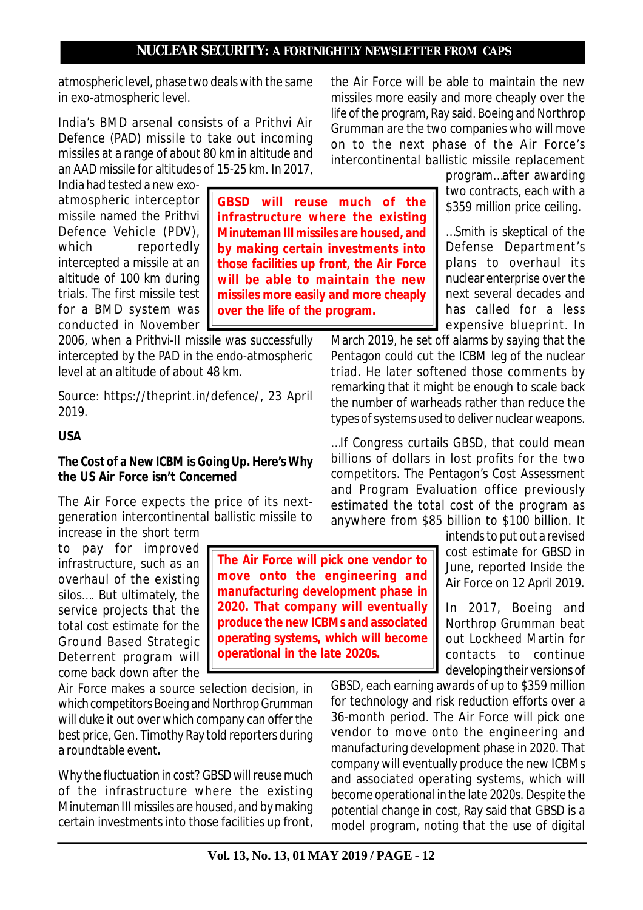atmospheric level, phase two deals with the same in exo-atmospheric level.

India's BMD arsenal consists of a Prithvi Air Defence (PAD) missile to take out incoming missiles at a range of about 80 km in altitude and an AAD missile for altitudes of 15-25 km. In 2017,

India had tested a new exoatmospheric interceptor missile named the Prithvi Defence Vehicle (PDV), which reportedly intercepted a missile at an altitude of 100 km during trials. The first missile test for a BMD system was conducted in November

2006, when a Prithvi-II missile was successfully intercepted by the PAD in the endo-atmospheric level at an altitude of about 48 km.

*Source: https://theprint.in/defence/, 23 April 2019.*

#### **USA**

#### **The Cost of a New ICBM is Going Up. Here's Why the US Air Force isn't Concerned**

The Air Force expects the price of its nextgeneration intercontinental ballistic missile to increase in the short term

to pay for improved infrastructure, such as an overhaul of the existing silos…. But ultimately, the service projects that the total cost estimate for the Ground Based Strategic Deterrent program will come back down after the

Air Force makes a source selection decision, in which competitors Boeing and Northrop Grumman will duke it out over which company can offer the best price, Gen. Timothy Ray told reporters during a roundtable event**.**

Why the fluctuation in cost? GBSD will reuse much of the infrastructure where the existing Minuteman III missiles are housed, and by making certain investments into those facilities up front,

the Air Force will be able to maintain the new missiles more easily and more cheaply over the life of the program, Ray said. Boeing and Northrop Grumman are the two companies who will move on to the next phase of the Air Force's intercontinental ballistic missile replacement

> program…after awarding two contracts, each with a \$359 million price ceiling.

…Smith is skeptical of the Defense Department's plans to overhaul its nuclear enterprise over the next several decades and has called for a less expensive blueprint. In

March 2019, he set off alarms by saying that the Pentagon could cut the ICBM leg of the nuclear triad. He later softened those comments by remarking that it might be enough to scale back the number of warheads rather than reduce the types of systems used to deliver nuclear weapons.

…If Congress curtails GBSD, that could mean billions of dollars in lost profits for the two competitors. The Pentagon's Cost Assessment and Program Evaluation office previously estimated the total cost of the program as anywhere from \$85 billion to \$100 billion. It

> intends to put out a revised cost estimate for GBSD in June, reported Inside the Air Force on 12 April 2019.

In 2017, Boeing and Northrop Grumman beat out Lockheed Martin for contacts to continue developing their versions of

GBSD, each earning awards of up to \$359 million for technology and risk reduction efforts over a 36-month period. The Air Force will pick one vendor to move onto the engineering and manufacturing development phase in 2020. That company will eventually produce the new ICBMs and associated operating systems, which will become operational in the late 2020s. Despite the potential change in cost, Ray said that GBSD is a model program, noting that the use of digital

**The Air Force will pick one vendor to move onto the engineering and manufacturing development phase in 2020. That company will eventually produce the new ICBMs and associated operating systems, which will become**

**operational in the late 2020s.**

### **GBSD will reuse much of the infrastructure where the existing Minuteman III missiles are housed, and by making certain investments into those facilities up front, the Air Force will be able to maintain the new missiles more easily and more cheaply over the life of the program.**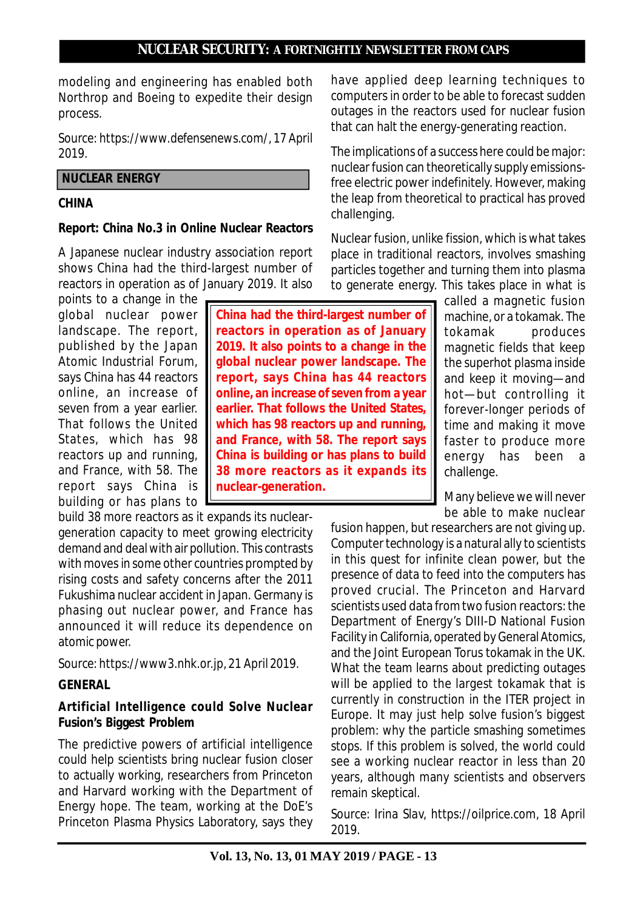**China had the third-largest number of reactors in operation as of January 2019. It also points to a change in the global nuclear power landscape. The report, says China has 44 reactors online, an increase of seven from a year earlier. That follows the United States, which has 98 reactors up and running, and France, with 58. The report says China is building or has plans to build 38 more reactors as it expands its**

**nuclear-generation.**

modeling and engineering has enabled both Northrop and Boeing to expedite their design process.

*Source: https://www.defensenews.com/, 17 April 2019.*

### **NUCLEAR ENERGY**

### **CHINA**

### **Report: China No.3 in Online Nuclear Reactors**

A Japanese nuclear industry association report shows China had the third-largest number of reactors in operation as of January 2019. It also

points to a change in the global nuclear power landscape. The report, published by the Japan Atomic Industrial Forum, says China has 44 reactors online, an increase of seven from a year earlier. That follows the United States, which has 98 reactors up and running, and France, with 58. The report says China is building or has plans to

build 38 more reactors as it expands its nucleargeneration capacity to meet growing electricity demand and deal with air pollution. This contrasts with moves in some other countries prompted by rising costs and safety concerns after the 2011 Fukushima nuclear accident in Japan. Germany is phasing out nuclear power, and France has announced it will reduce its dependence on atomic power.

### *Source: https://www3.nhk.or.jp, 21 April 2019.*

### **GENERAL**

### **Artificial Intelligence could Solve Nuclear Fusion's Biggest Problem**

The predictive powers of artificial intelligence could help scientists bring nuclear fusion closer to actually working, researchers from Princeton and Harvard working with the Department of Energy hope. The team, working at the DoE's Princeton Plasma Physics Laboratory, says they have applied deep learning techniques to computers in order to be able to forecast sudden outages in the reactors used for nuclear fusion that can halt the energy-generating reaction.

The implications of a success here could be major: nuclear fusion can theoretically supply emissionsfree electric power indefinitely. However, making the leap from theoretical to practical has proved challenging.

Nuclear fusion, unlike fission, which is what takes place in traditional reactors, involves smashing particles together and turning them into plasma to generate energy. This takes place in what is

> called a magnetic fusion machine, or a tokamak. The tokamak produces magnetic fields that keep the superhot plasma inside and keep it moving—and hot—but controlling it forever-longer periods of time and making it move faster to produce more energy has been a challenge.

Many believe we will never be able to make nuclear

fusion happen, but researchers are not giving up. Computer technology is a natural ally to scientists in this quest for infinite clean power, but the presence of data to feed into the computers has proved crucial. The Princeton and Harvard scientists used data from two fusion reactors: the Department of Energy's DIII-D National Fusion Facility in California, operated by General Atomics, and the Joint European Torus tokamak in the UK. What the team learns about predicting outages will be applied to the largest tokamak that is currently in construction in the ITER project in Europe. It may just help solve fusion's biggest problem: why the particle smashing sometimes stops. If this problem is solved, the world could see a working nuclear reactor in less than 20 years, although many scientists and observers remain skeptical.

*Source: Irina Slav, https://oilprice.com, 18 April 2019.*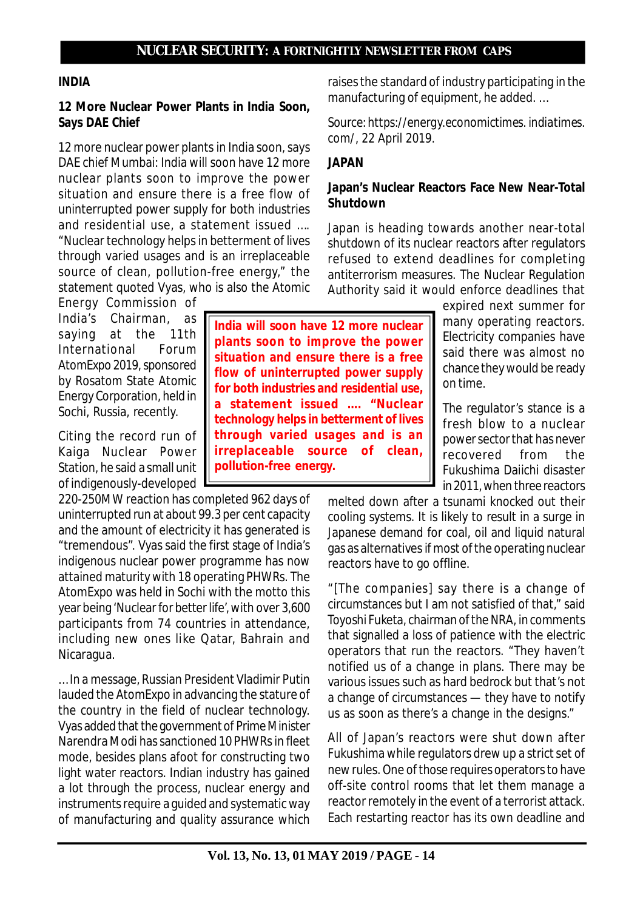# **INDIA**

### **12 More Nuclear Power Plants in India Soon, Says DAE Chief**

12 more nuclear power plants in India soon, says DAE chief Mumbai: India will soon have 12 more nuclear plants soon to improve the power situation and ensure there is a free flow of uninterrupted power supply for both industries and residential use, a statement issued …. "Nuclear technology helps in betterment of lives through varied usages and is an irreplaceable source of clean, pollution-free energy," the statement quoted Vyas, who is also the Atomic

Energy Commission of India's Chairman, as saying at the 11th International Forum AtomExpo 2019, sponsored by Rosatom State Atomic Energy Corporation, held in Sochi, Russia, recently.

Citing the record run of Kaiga Nuclear Power Station, he said a small unit of indigenously-developed

220-250MW reaction has completed 962 days of uninterrupted run at about 99.3 per cent capacity and the amount of electricity it has generated is "tremendous". Vyas said the first stage of India's indigenous nuclear power programme has now attained maturity with 18 operating PHWRs. The AtomExpo was held in Sochi with the motto this year being 'Nuclear for better life', with over 3,600 participants from 74 countries in attendance, including new ones like Qatar, Bahrain and Nicaragua.

… In a message, Russian President Vladimir Putin lauded the AtomExpo in advancing the stature of the country in the field of nuclear technology. Vyas added that the government of Prime Minister Narendra Modi has sanctioned 10 PHWRs in fleet mode, besides plans afoot for constructing two light water reactors. Indian industry has gained a lot through the process, nuclear energy and instruments require a guided and systematic way of manufacturing and quality assurance which

**India will soon have 12 more nuclear plants soon to improve the power situation and ensure there is a free flow of uninterrupted power supply for both industries and residential use, a statement issued …. "Nuclear technology helps in betterment of lives through varied usages and is an irreplaceable source of clean, pollution-free energy.**

raises the standard of industry participating in the manufacturing of equipment, he added. …

*Source: https://energy.economictimes. indiatimes. com/, 22 April 2019.*

# **JAPAN**

### **Japan's Nuclear Reactors Face New Near-Total Shutdown**

Japan is heading towards another near-total shutdown of its nuclear reactors after regulators refused to extend deadlines for completing antiterrorism measures. The Nuclear Regulation Authority said it would enforce deadlines that

expired next summer for many operating reactors. Electricity companies have said there was almost no chance they would be ready on time.

The regulator's stance is a fresh blow to a nuclear power sector that has never recovered from the Fukushima Daiichi disaster in 2011, when three reactors

melted down after a tsunami knocked out their cooling systems. It is likely to result in a surge in Japanese demand for coal, oil and liquid natural gas as alternatives if most of the operating nuclear reactors have to go offline.

"[The companies] say there is a change of circumstances but I am not satisfied of that," said Toyoshi Fuketa, chairman of the NRA, in comments that signalled a loss of patience with the electric operators that run the reactors. "They haven't notified us of a change in plans. There may be various issues such as hard bedrock but that's not a change of circumstances — they have to notify us as soon as there's a change in the designs."

All of Japan's reactors were shut down after Fukushima while regulators drew up a strict set of new rules. One of those requires operators to have off-site control rooms that let them manage a reactor remotely in the event of a terrorist attack. Each restarting reactor has its own deadline and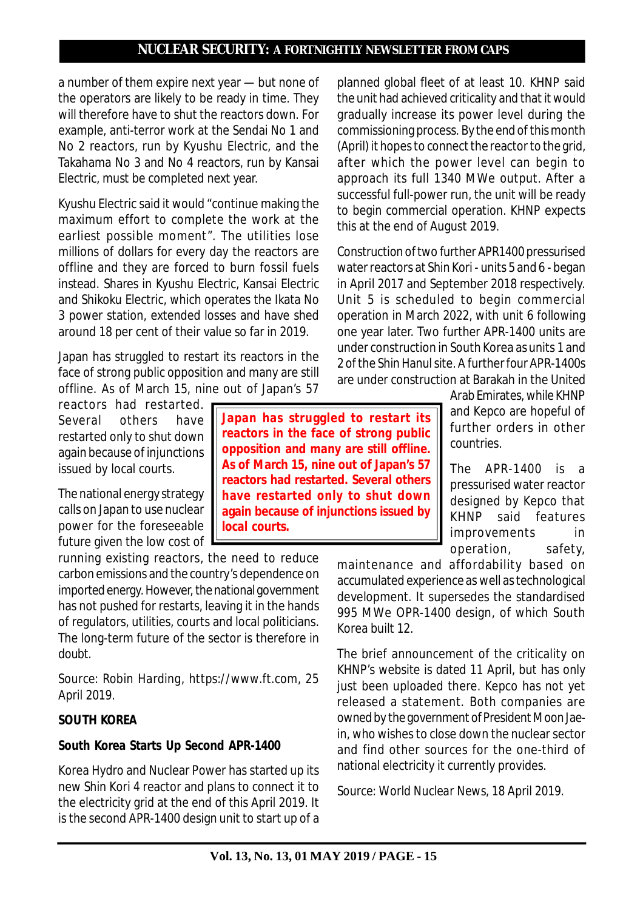a number of them expire next year — but none of the operators are likely to be ready in time. They will therefore have to shut the reactors down. For example, anti-terror work at the Sendai No 1 and No 2 reactors, run by Kyushu Electric, and the Takahama No 3 and No 4 reactors, run by Kansai Electric, must be completed next year.

Kyushu Electric said it would "continue making the maximum effort to complete the work at the earliest possible moment". The utilities lose millions of dollars for every day the reactors are offline and they are forced to burn fossil fuels instead. Shares in Kyushu Electric, Kansai Electric and Shikoku Electric, which operates the Ikata No 3 power station, extended losses and have shed around 18 per cent of their value so far in 2019.

Japan has struggled to restart its reactors in the face of strong public opposition and many are still offline. As of March 15, nine out of Japan's 57

reactors had restarted. Several others have restarted only to shut down again because of injunctions issued by local courts.

The national energy strategy calls on Japan to use nuclear power for the foreseeable future given the low cost of

running existing reactors, the need to reduce carbon emissions and the country's dependence on imported energy. However, the national government has not pushed for restarts, leaving it in the hands of regulators, utilities, courts and local politicians. The long-term future of the sector is therefore in doubt.

*Source: Robin Harding, https://www.ft.com, 25 April 2019.*

#### **SOUTH KOREA**

#### **South Korea Starts Up Second APR-1400**

Korea Hydro and Nuclear Power has started up its new Shin Kori 4 reactor and plans to connect it to the electricity grid at the end of this April 2019. It is the second APR-1400 design unit to start up of a

**Japan has struggled to restart its reactors in the face of strong public opposition and many are still offline. As of March 15, nine out of Japan's 57 reactors had restarted. Several others have restarted only to shut down again because of injunctions issued by local courts.**

planned global fleet of at least 10. KHNP said the unit had achieved criticality and that it would gradually increase its power level during the commissioning process. By the end of this month (April) it hopes to connect the reactor to the grid, after which the power level can begin to approach its full 1340 MWe output. After a successful full-power run, the unit will be ready to begin commercial operation. KHNP expects this at the end of August 2019.

Construction of two further APR1400 pressurised water reactors at Shin Kori - units 5 and 6 - began in April 2017 and September 2018 respectively. Unit 5 is scheduled to begin commercial operation in March 2022, with unit 6 following one year later. Two further APR-1400 units are under construction in South Korea as units 1 and 2 of the Shin Hanul site. A further four APR-1400s are under construction at Barakah in the United

> Arab Emirates, while KHNP and Kepco are hopeful of further orders in other countries.

> The APR-1400 is a pressurised water reactor designed by Kepco that KHNP said features improvements in operation, safety,

maintenance and affordability based on accumulated experience as well as technological development. It supersedes the standardised 995 MWe OPR-1400 design, of which South Korea built 12.

The brief announcement of the criticality on KHNP's website is dated 11 April, but has only just been uploaded there. Kepco has not yet released a statement. Both companies are owned by the government of President Moon Jaein, who wishes to close down the nuclear sector and find other sources for the one-third of national electricity it currently provides.

*Source: World Nuclear News, 18 April 2019.*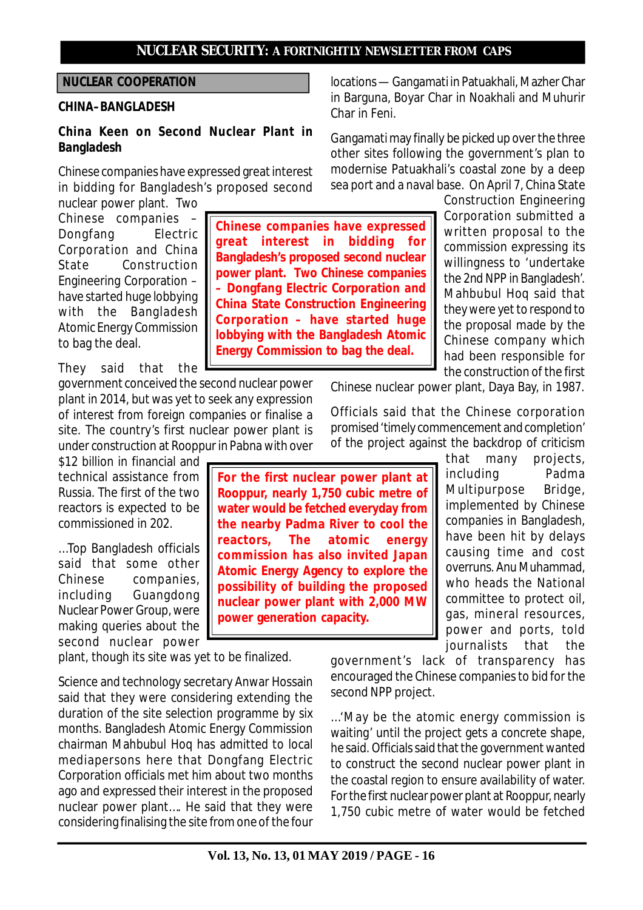**Chinese companies have expressed great interest in bidding for Bangladesh's proposed second nuclear power plant. Two Chinese companies – Dongfang Electric Corporation and China State Construction Engineering Corporation – have started huge lobbying with the Bangladesh Atomic Energy Commission to bag the deal.**

### **NUCLEAR COOPERATION**

#### **CHINA–BANGLADESH**

#### **China Keen on Second Nuclear Plant in Bangladesh**

Chinese companies have expressed great interest in bidding for Bangladesh's proposed second nuclear power plant. Two

Chinese companies – Dongfang Electric Corporation and China State Construction Engineering Corporation – have started huge lobbying with the Bangladesh Atomic Energy Commission to bag the deal.

They said that the

government conceived the second nuclear power plant in 2014, but was yet to seek any expression of interest from foreign companies or finalise a site. The country's first nuclear power plant is under construction at Rooppur in Pabna with over

\$12 billion in financial and technical assistance from Russia. The first of the two reactors is expected to be commissioned in 202.

…Top Bangladesh officials said that some other Chinese companies, including Guangdong Nuclear Power Group, were making queries about the second nuclear power

plant, though its site was yet to be finalized.

Science and technology secretary Anwar Hossain said that they were considering extending the duration of the site selection programme by six months. Bangladesh Atomic Energy Commission chairman Mahbubul Hoq has admitted to local mediapersons here that Dongfang Electric Corporation officials met him about two months ago and expressed their interest in the proposed nuclear power plant…. He said that they were considering finalising the site from one of the four locations — Gangamati in Patuakhali, Mazher Char in Barguna, Boyar Char in Noakhali and Muhurir Char in Feni.

Gangamati may finally be picked up over the three other sites following the government's plan to modernise Patuakhali's coastal zone by a deep sea port and a naval base. On April 7, China State

Construction Engineering Corporation submitted a written proposal to the commission expressing its willingness to 'undertake the 2nd NPP in Bangladesh'. Mahbubul Hoq said that they were yet to respond to the proposal made by the Chinese company which had been responsible for the construction of the first

Chinese nuclear power plant, Daya Bay, in 1987.

Officials said that the Chinese corporation promised 'timely commencement and completion' of the project against the backdrop of criticism

> that many projects, including Padma Multipurpose Bridge, implemented by Chinese companies in Bangladesh, have been hit by delays causing time and cost overruns. Anu Muhammad, who heads the National committee to protect oil, gas, mineral resources, power and ports, told journalists that the

government's lack of transparency has encouraged the Chinese companies to bid for the second NPP project.

…'May be the atomic energy commission is waiting' until the project gets a concrete shape, he said. Officials said that the government wanted to construct the second nuclear power plant in the coastal region to ensure availability of water. For the first nuclear power plant at Rooppur, nearly 1,750 cubic metre of water would be fetched

**For the first nuclear power plant at Rooppur, nearly 1,750 cubic metre of water would be fetched everyday from the nearby Padma River to cool the reactors, The atomic energy commission has also invited Japan Atomic Energy Agency to explore the possibility of building the proposed nuclear power plant with 2,000 MW power generation capacity.**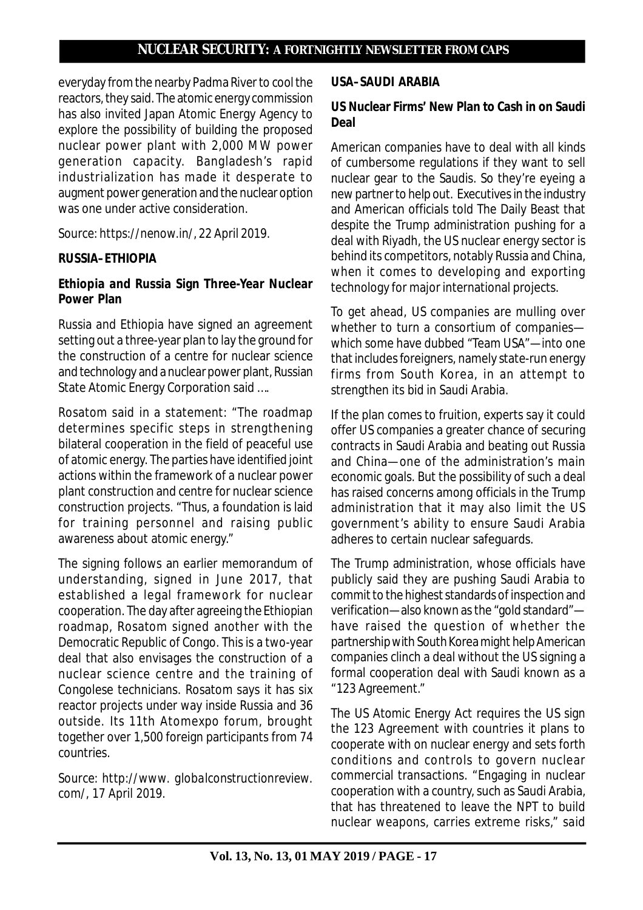everyday from the nearby Padma River to cool the reactors, they said. The atomic energy commission has also invited Japan Atomic Energy Agency to explore the possibility of building the proposed nuclear power plant with 2,000 MW power generation capacity. Bangladesh's rapid industrialization has made it desperate to augment power generation and the nuclear option was one under active consideration.

*Source: https://nenow.in/, 22 April 2019.*

### **RUSSIA–ETHIOPIA**

### **Ethiopia and Russia Sign Three-Year Nuclear Power Plan**

Russia and Ethiopia have signed an agreement setting out a three-year plan to lay the ground for the construction of a centre for nuclear science and technology and a nuclear power plant, Russian State Atomic Energy Corporation said ….

Rosatom said in a statement: "The roadmap determines specific steps in strengthening bilateral cooperation in the field of peaceful use of atomic energy. The parties have identified joint actions within the framework of a nuclear power plant construction and centre for nuclear science construction projects. "Thus, a foundation is laid for training personnel and raising public awareness about atomic energy."

The signing follows an earlier memorandum of understanding, signed in June 2017, that established a legal framework for nuclear cooperation. The day after agreeing the Ethiopian roadmap, Rosatom signed another with the Democratic Republic of Congo. This is a two-year deal that also envisages the construction of a nuclear science centre and the training of Congolese technicians. Rosatom says it has six reactor projects under way inside Russia and 36 outside. Its 11th Atomexpo forum, brought together over 1,500 foreign participants from 74 countries.

*Source: http://www. globalconstructionreview. com/, 17 April 2019.*

#### **USA–SAUDI ARABIA**

### **US Nuclear Firms' New Plan to Cash in on Saudi Deal**

American companies have to deal with all kinds of cumbersome regulations if they want to sell nuclear gear to the Saudis. So they're eyeing a new partner to help out. Executives in the industry and American officials told The Daily Beast that despite the Trump administration pushing for a deal with Riyadh, the US nuclear energy sector is behind its competitors, notably Russia and China, when it comes to developing and exporting technology for major international projects.

To get ahead, US companies are mulling over whether to turn a consortium of companieswhich some have dubbed "Team USA"—into one that includes foreigners, namely state-run energy firms from South Korea, in an attempt to strengthen its bid in Saudi Arabia.

If the plan comes to fruition, experts say it could offer US companies a greater chance of securing contracts in Saudi Arabia and beating out Russia and China—one of the administration's main economic goals. But the possibility of such a deal has raised concerns among officials in the Trump administration that it may also limit the US government's ability to ensure Saudi Arabia adheres to certain nuclear safeguards.

The Trump administration, whose officials have publicly said they are pushing Saudi Arabia to commit to the highest standards of inspection and verification—also known as the "gold standard" have raised the question of whether the partnership with South Korea might help American companies clinch a deal without the US signing a formal cooperation deal with Saudi known as a "123 Agreement."

The US Atomic Energy Act requires the US sign the 123 Agreement with countries it plans to cooperate with on nuclear energy and sets forth conditions and controls to govern nuclear commercial transactions. "Engaging in nuclear cooperation with a country, such as Saudi Arabia, that has threatened to leave the NPT to build nuclear weapons, carries extreme risks," said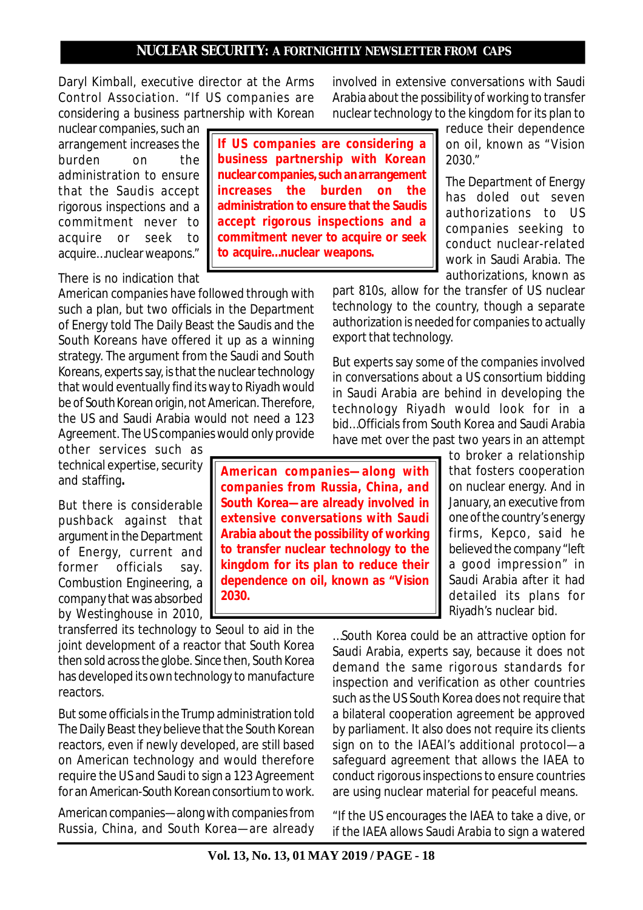**If US companies are considering a business partnership with Korean nuclear companies, such an arrangement increases the burden on the administration to ensure that the Saudis accept rigorous inspections and a commitment never to acquire or seek**

**to acquire…nuclear weapons.**

Daryl Kimball, executive director at the Arms Control Association. "If US companies are considering a business partnership with Korean

nuclear companies, such an arrangement increases the burden on the administration to ensure that the Saudis accept rigorous inspections and a commitment never to acquire or seek to acquire…nuclear weapons."

There is no indication that

American companies have followed through with such a plan, but two officials in the Department of Energy told The Daily Beast the Saudis and the South Koreans have offered it up as a winning strategy. The argument from the Saudi and South Koreans, experts say, is that the nuclear technology that would eventually find its way to Riyadh would be of South Korean origin, not American. Therefore, the US and Saudi Arabia would not need a 123 Agreement. The US companies would only provide

other services such as technical expertise, security and staffing**.**

But there is considerable pushback against that argument in the Department of Energy, current and former officials say. Combustion Engineering, a company that was absorbed by Westinghouse in 2010,

transferred its technology to Seoul to aid in the joint development of a reactor that South Korea then sold across the globe. Since then, South Korea has developed its own technology to manufacture reactors.

But some officials in the Trump administration told The Daily Beast they believe that the South Korean reactors, even if newly developed, are still based on American technology and would therefore require the US and Saudi to sign a 123 Agreement for an American-South Korean consortium to work.

American companies—along with companies from Russia, China, and South Korea—are already

involved in extensive conversations with Saudi Arabia about the possibility of working to transfer nuclear technology to the kingdom for its plan to

> reduce their dependence on oil, known as "Vision 2030."

The Department of Energy has doled out seven authorizations to US companies seeking to conduct nuclear-related work in Saudi Arabia. The authorizations, known as

part 810s, allow for the transfer of US nuclear technology to the country, though a separate authorization is needed for companies to actually export that technology.

But experts say some of the companies involved in conversations about a US consortium bidding in Saudi Arabia are behind in developing the technology Riyadh would look for in a bid…Officials from South Korea and Saudi Arabia have met over the past two years in an attempt

> to broker a relationship that fosters cooperation on nuclear energy. And in January, an executive from one of the country's energy firms, Kepco, said he believed the company "left a good impression" in Saudi Arabia after it had detailed its plans for Riyadh's nuclear bid.

…South Korea could be an attractive option for Saudi Arabia, experts say, because it does not demand the same rigorous standards for inspection and verification as other countries such as the US South Korea does not require that a bilateral cooperation agreement be approved by parliament. It also does not require its clients sign on to the IAEAl's additional protocol—a safeguard agreement that allows the IAEA to conduct rigorous inspections to ensure countries are using nuclear material for peaceful means.

"If the US encourages the IAEA to take a dive, or if the IAEA allows Saudi Arabia to sign a watered

### **American companies—along with companies from Russia, China, and South Korea—are already involved in extensive conversations with Saudi Arabia about the possibility of working to transfer nuclear technology to the kingdom for its plan to reduce their dependence on oil, known as "Vision 2030.**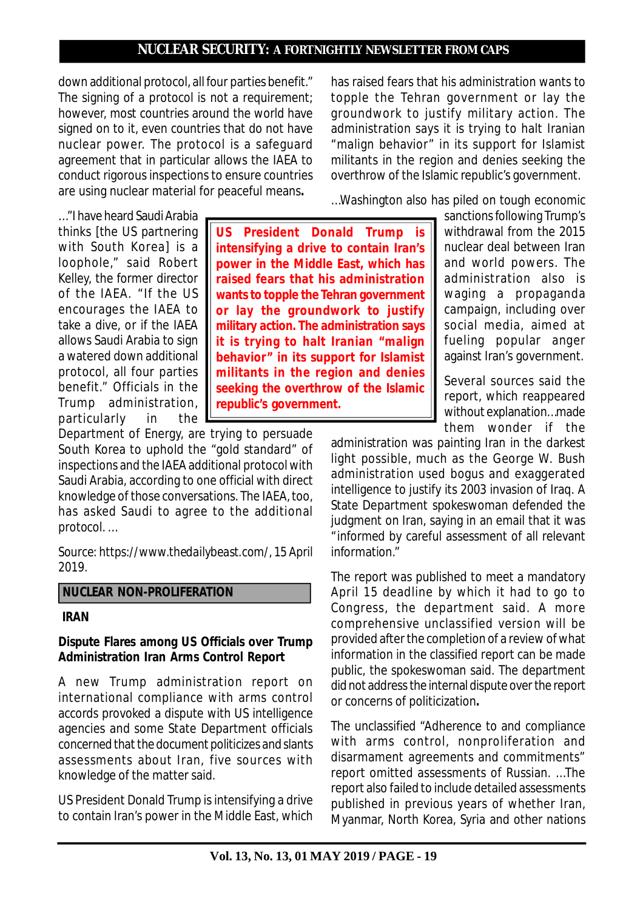down additional protocol, all four parties benefit." The signing of a protocol is not a requirement; however, most countries around the world have signed on to it, even countries that do not have nuclear power. The protocol is a safeguard agreement that in particular allows the IAEA to conduct rigorous inspections to ensure countries are using nuclear material for peaceful means**.**

has raised fears that his administration wants to topple the Tehran government or lay the groundwork to justify military action. The administration says it is trying to halt Iranian "malign behavior" in its support for Islamist militants in the region and denies seeking the overthrow of the Islamic republic's government.

…Washington also has piled on tough economic

…"I have heard Saudi Arabia thinks [the US partnering with South Korea] is a loophole," said Robert Kelley, the former director of the IAEA. "If the US encourages the IAEA to take a dive, or if the IAEA allows Saudi Arabia to sign a watered down additional protocol, all four parties benefit." Officials in the Trump administration, particularly in the

**US President Donald Trump is intensifying a drive to contain Iran's power in the Middle East, which has raised fears that his administration wants to topple the Tehran government or lay the groundwork to justify military action. The administration says it is trying to halt Iranian "malign behavior" in its support for Islamist militants in the region and denies seeking the overthrow of the Islamic republic's government.**

Department of Energy, are trying to persuade South Korea to uphold the "gold standard" of inspections and the IAEA additional protocol with Saudi Arabia, according to one official with direct knowledge of those conversations. The IAEA, too, has asked Saudi to agree to the additional protocol. …

*Source: https://www.thedailybeast.com/, 15 April 2019.*

#### **NUCLEAR NON-PROLIFERATION**

#### **IRAN**

### **Dispute Flares among US Officials over Trump Administration Iran Arms Control Report**

A new Trump administration report on international compliance with arms control accords provoked a dispute with US intelligence agencies and some State Department officials concerned that the document politicizes and slants assessments about Iran, five sources with knowledge of the matter said.

US President Donald Trump is intensifying a drive to contain Iran's power in the Middle East, which sanctions following Trump's withdrawal from the 2015 nuclear deal between Iran and world powers. The administration also is waging a propaganda campaign, including over social media, aimed at fueling popular anger against Iran's government.

Several sources said the report, which reappeared without explanation…made them wonder if the

administration was painting Iran in the darkest light possible, much as the George W. Bush administration used bogus and exaggerated intelligence to justify its 2003 invasion of Iraq. A State Department spokeswoman defended the judgment on Iran, saying in an email that it was "informed by careful assessment of all relevant information."

The report was published to meet a mandatory April 15 deadline by which it had to go to Congress, the department said. A more comprehensive unclassified version will be provided after the completion of a review of what information in the classified report can be made public, the spokeswoman said. The department did not address the internal dispute over the report or concerns of politicization**.**

The unclassified "Adherence to and compliance with arms control, nonproliferation and disarmament agreements and commitments" report omitted assessments of Russian. …The report also failed to include detailed assessments published in previous years of whether Iran, Myanmar, North Korea, Syria and other nations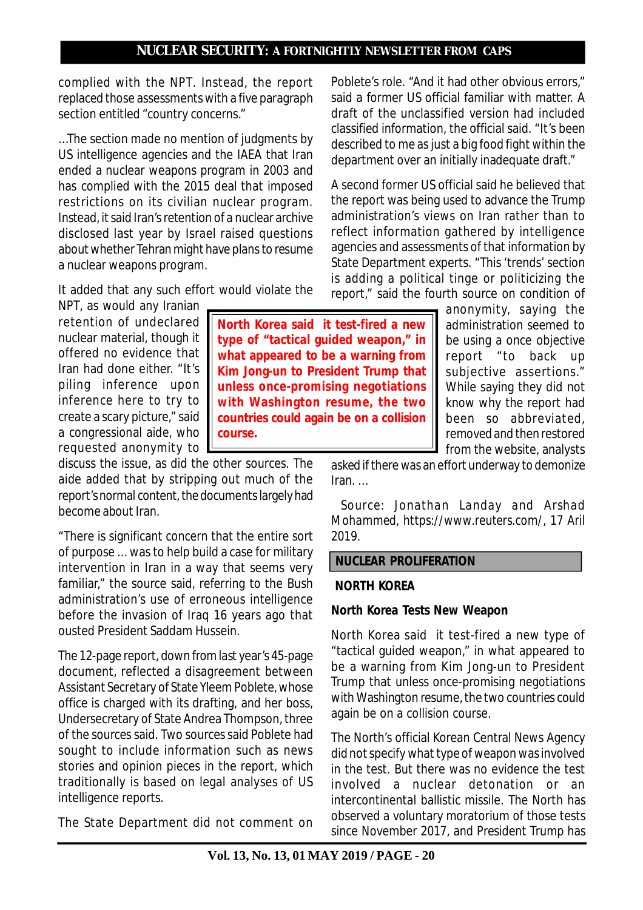**North Korea said it test-fired a new type of "tactical guided weapon," in what appeared to be a warning from Kim Jong-un to President Trump that unless once-promising negotiations with Washington resume, the two countries could again be on a collision**

complied with the NPT. Instead, the report replaced those assessments with a five paragraph section entitled "country concerns."

…The section made no mention of judgments by US intelligence agencies and the IAEA that Iran ended a nuclear weapons program in 2003 and has complied with the 2015 deal that imposed restrictions on its civilian nuclear program. Instead, it said Iran's retention of a nuclear archive disclosed last year by Israel raised questions about whether Tehran might have plans to resume a nuclear weapons program.

It added that any such effort would violate the

NPT, as would any Iranian retention of undeclared nuclear material, though it offered no evidence that Iran had done either. "It's piling inference upon inference here to try to create a scary picture," said a congressional aide, who requested anonymity to

discuss the issue, as did the other sources. The aide added that by stripping out much of the report's normal content, the documents largely had become about Iran.

**course.**

"There is significant concern that the entire sort of purpose ... was to help build a case for military intervention in Iran in a way that seems very familiar," the source said, referring to the Bush administration's use of erroneous intelligence before the invasion of Iraq 16 years ago that ousted President Saddam Hussein.

The 12-page report, down from last year's 45-page document, reflected a disagreement between Assistant Secretary of State Yleem Poblete, whose office is charged with its drafting, and her boss, Undersecretary of State Andrea Thompson, three of the sources said. Two sources said Poblete had sought to include information such as news stories and opinion pieces in the report, which traditionally is based on legal analyses of US intelligence reports.

The State Department did not comment on

Poblete's role. "And it had other obvious errors," said a former US official familiar with matter. A draft of the unclassified version had included classified information, the official said. "It's been described to me as just a big food fight within the department over an initially inadequate draft."

A second former US official said he believed that the report was being used to advance the Trump administration's views on Iran rather than to reflect information gathered by intelligence agencies and assessments of that information by State Department experts. "This 'trends' section is adding a political tinge or politicizing the report," said the fourth source on condition of

anonymity, saying the administration seemed to be using a once objective report "to back up subjective assertions." While saying they did not know why the report had been so abbreviated, removed and then restored from the website, analysts

asked if there was an effort underway to demonize Iran. …

*Source: Jonathan Landay and Arshad Mohammed, https://www.reuters.com/, 17 Aril 2019.*

#### **NUCLEAR PROLIFERATION**

#### **NORTH KOREA**

#### **North Korea Tests New Weapon**

North Korea said it test-fired a new type of "tactical guided weapon," in what appeared to be a warning from Kim Jong-un to President Trump that unless once-promising negotiations with Washington resume, the two countries could again be on a collision course.

The North's official Korean Central News Agency did not specify what type of weapon was involved in the test. But there was no evidence the test involved a nuclear detonation or an intercontinental ballistic missile. The North has observed a voluntary moratorium of those tests since November 2017, and President Trump has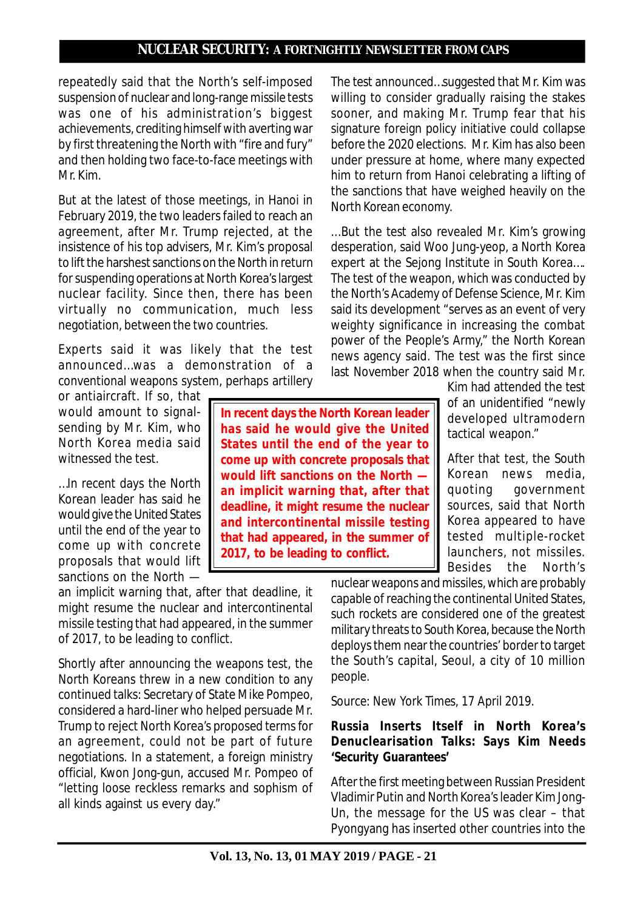**In recent days the North Korean leader has said he would give the United States until the end of the year to come up with concrete proposals that would lift sanctions on the North an implicit warning that, after that deadline, it might resume the nuclear and intercontinental missile testing that had appeared, in the summer of**

**2017, to be leading to conflict.**

repeatedly said that the North's self-imposed suspension of nuclear and long-range missile tests was one of his administration's biggest achievements, crediting himself with averting war by first threatening the North with "fire and fury" and then holding two face-to-face meetings with Mr. Kim.

But at the latest of those meetings, in Hanoi in February 2019, the two leaders failed to reach an agreement, after Mr. Trump rejected, at the insistence of his top advisers, Mr. Kim's proposal to lift the harshest sanctions on the North in return for suspending operations at North Korea's largest nuclear facility. Since then, there has been virtually no communication, much less negotiation, between the two countries.

Experts said it was likely that the test announced…was a demonstration of a conventional weapons system, perhaps artillery

or antiaircraft. If so, that would amount to signalsending by Mr. Kim, who North Korea media said witnessed the test.

…In recent days the North Korean leader has said he would give the United States until the end of the year to come up with concrete proposals that would lift sanctions on the North —

an implicit warning that, after that deadline, it might resume the nuclear and intercontinental missile testing that had appeared, in the summer of 2017, to be leading to conflict.

Shortly after announcing the weapons test, the North Koreans threw in a new condition to any continued talks: Secretary of State Mike Pompeo, considered a hard-liner who helped persuade Mr. Trump to reject North Korea's proposed terms for an agreement, could not be part of future negotiations. In a statement, a foreign ministry official, Kwon Jong-gun, accused Mr. Pompeo of "letting loose reckless remarks and sophism of all kinds against us every day."

The test announced…suggested that Mr. Kim was willing to consider gradually raising the stakes sooner, and making Mr. Trump fear that his signature foreign policy initiative could collapse before the 2020 elections. Mr. Kim has also been under pressure at home, where many expected him to return from Hanoi celebrating a lifting of the sanctions that have weighed heavily on the North Korean economy.

...But the test also revealed Mr. Kim's growing desperation, said Woo Jung-yeop, a North Korea expert at the Sejong Institute in South Korea…. The test of the weapon, which was conducted by the North's Academy of Defense Science, Mr. Kim said its development "serves as an event of very weighty significance in increasing the combat power of the People's Army," the North Korean news agency said. The test was the first since last November 2018 when the country said Mr.

> Kim had attended the test of an unidentified "newly developed ultramodern tactical weapon."

> After that test, the South Korean news media, quoting government sources, said that North Korea appeared to have tested multiple-rocket launchers, not missiles. Besides the North's

nuclear weapons and missiles, which are probably capable of reaching the continental United States, such rockets are considered one of the greatest military threats to South Korea, because the North deploys them near the countries' border to target the South's capital, Seoul, a city of 10 million people.

*Source: New York Times, 17 April 2019.*

### **Russia Inserts Itself in North Korea's Denuclearisation Talks: Says Kim Needs 'Security Guarantees'**

After the first meeting between Russian President Vladimir Putin and North Korea's leader Kim Jong-Un, the message for the US was clear – that Pyongyang has inserted other countries into the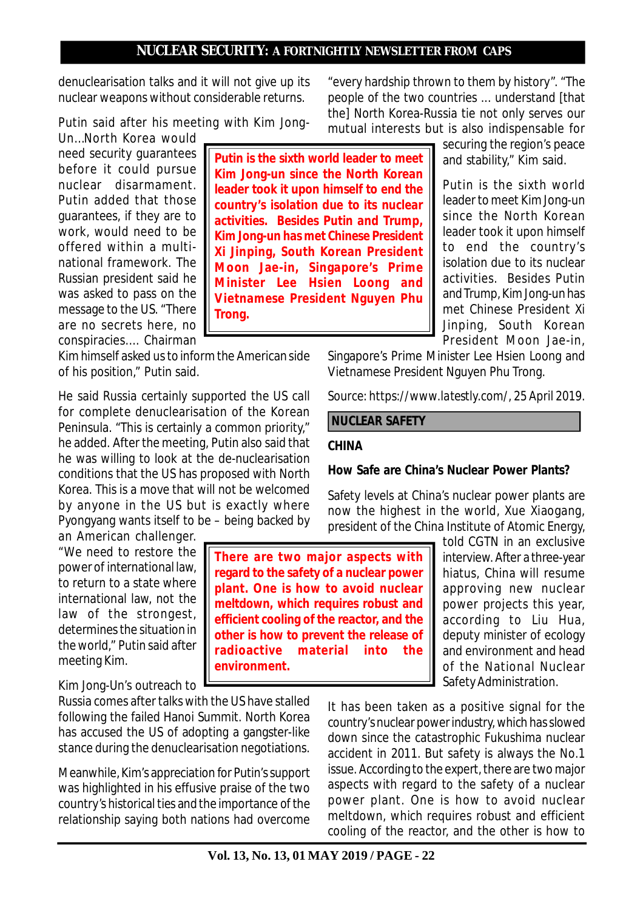**Putin is the sixth world leader to meet Kim Jong-un since the North Korean leader took it upon himself to end the country's isolation due to its nuclear activities. Besides Putin and Trump, Kim Jong-un has met Chinese President Xi Jinping, South Korean President Moon Jae-in, Singapore's Prime Minister Lee Hsien Loong and Vietnamese President Nguyen Phu**

denuclearisation talks and it will not give up its nuclear weapons without considerable returns.

Putin said after his meeting with Kim Jong-

Un…North Korea would need security guarantees before it could pursue nuclear disarmament. Putin added that those guarantees, if they are to work, would need to be offered within a multinational framework. The Russian president said he was asked to pass on the message to the US. "There are no secrets here, no conspiracies.... Chairman

Kim himself asked us to inform the American side of his position," Putin said.

**Trong.**

He said Russia certainly supported the US call for complete denuclearisation of the Korean Peninsula. "This is certainly a common priority," he added. After the meeting, Putin also said that he was willing to look at the de-nuclearisation conditions that the US has proposed with North Korea. This is a move that will not be welcomed by anyone in the US but is exactly where Pyongyang wants itself to be – being backed by

an American challenger. "We need to restore the power of international law, to return to a state where international law, not the law of the strongest, determines the situation in the world," Putin said after meeting Kim.

Kim Jong-Un's outreach to

Russia comes after talks with the US have stalled following the failed Hanoi Summit. North Korea has accused the US of adopting a gangster-like stance during the denuclearisation negotiations.

Meanwhile, Kim's appreciation for Putin's support was highlighted in his effusive praise of the two country's historical ties and the importance of the relationship saying both nations had overcome "every hardship thrown to them by history". "The people of the two countries ... understand [that the] North Korea-Russia tie not only serves our mutual interests but is also indispensable for

> securing the region's peace and stability," Kim said.

Putin is the sixth world leader to meet Kim Jong-un since the North Korean leader took it upon himself to end the country's isolation due to its nuclear activities. Besides Putin and Trump, Kim Jong-un has met Chinese President Xi Jinping, South Korean President Moon Jae-in,

Singapore's Prime Minister Lee Hsien Loong and Vietnamese President Nguyen Phu Trong.

*Source: https://www.latestly.com/, 25 April 2019.*

#### **NUCLEAR SAFETY**

#### **CHINA**

#### **How Safe are China's Nuclear Power Plants?**

Safety levels at China's nuclear power plants are now the highest in the world, Xue Xiaogang, president of the China Institute of Atomic Energy,

**There are two major aspects with regard to the safety of a nuclear power plant. One is how to avoid nuclear meltdown, which requires robust and efficient cooling of the reactor, and the other is how to prevent the release of radioactive material into the environment.**

told CGTN in an exclusive interview. After a three-year hiatus, China will resume approving new nuclear power projects this year, according to Liu Hua, deputy minister of ecology and environment and head of the National Nuclear Safety Administration.

It has been taken as a positive signal for the country's nuclear power industry, which has slowed down since the catastrophic Fukushima nuclear accident in 2011. But safety is always the No.1 issue. According to the expert, there are two major aspects with regard to the safety of a nuclear power plant. One is how to avoid nuclear meltdown, which requires robust and efficient cooling of the reactor, and the other is how to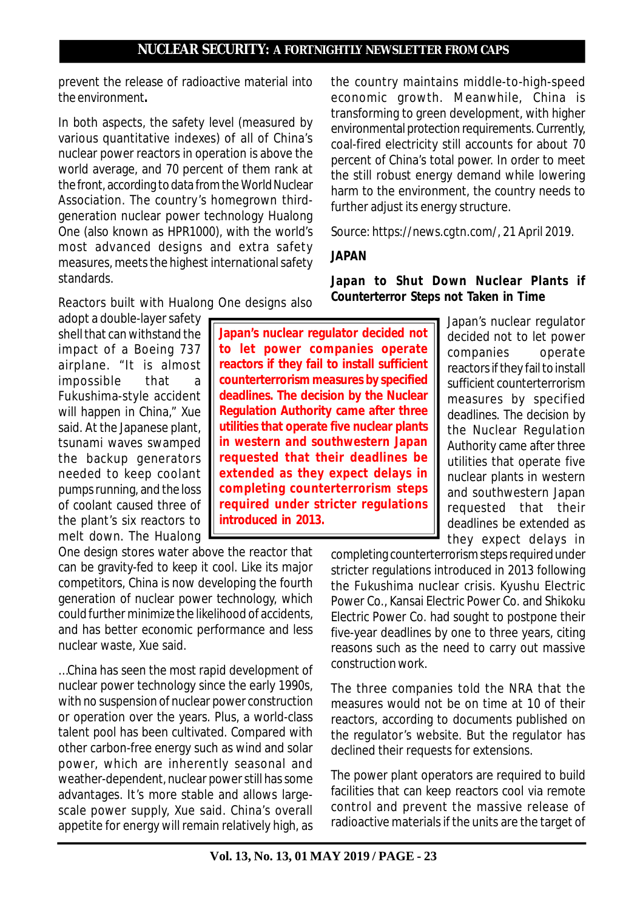prevent the release of radioactive material into the environment**.**

In both aspects, the safety level (measured by various quantitative indexes) of all of China's nuclear power reactors in operation is above the world average, and 70 percent of them rank at the front, according to data from the World Nuclear Association. The country's homegrown thirdgeneration nuclear power technology Hualong One (also known as HPR1000), with the world's most advanced designs and extra safety measures, meets the highest international safety standards.

the country maintains middle-to-high-speed economic growth. Meanwhile, China is transforming to green development, with higher environmental protection requirements. Currently, coal-fired electricity still accounts for about 70 percent of China's total power. In order to meet the still robust energy demand while lowering harm to the environment, the country needs to further adjust its energy structure.

*Source: https://news.cgtn.com/, 21 April 2019.*

### **JAPAN**

Reactors built with Hualong One designs also

adopt a double-layer safety shell that can withstand the impact of a Boeing 737 airplane. "It is almost impossible that Fukushima-style accident will happen in China," Xue said. At the Japanese plant, tsunami waves swamped the backup generators needed to keep coolant pumps running, and the loss of coolant caused three of the plant's six reactors to melt down. The Hualong

One design stores water above the reactor that can be gravity-fed to keep it cool. Like its major competitors, China is now developing the fourth generation of nuclear power technology, which could further minimize the likelihood of accidents, and has better economic performance and less nuclear waste, Xue said.

…China has seen the most rapid development of nuclear power technology since the early 1990s, with no suspension of nuclear power construction or operation over the years. Plus, a world-class talent pool has been cultivated. Compared with other carbon-free energy such as wind and solar power, which are inherently seasonal and weather-dependent, nuclear power still has some advantages. It's more stable and allows largescale power supply, Xue said. China's overall appetite for energy will remain relatively high, as

**Japan's nuclear regulator decided not to let power companies operate reactors if they fail to install sufficient counterterrorism measures by specified deadlines. The decision by the Nuclear Regulation Authority came after three utilities that operate five nuclear plants in western and southwestern Japan requested that their deadlines be extended as they expect delays in completing counterterrorism steps required under stricter regulations introduced in 2013.**

**Japan to Shut Down Nuclear Plants if Counterterror Steps not Taken in Time**

> Japan's nuclear regulator decided not to let power companies operate reactors if they fail to install sufficient counterterrorism measures by specified deadlines. The decision by the Nuclear Regulation Authority came after three utilities that operate five nuclear plants in western and southwestern Japan requested that their deadlines be extended as they expect delays in

completing counterterrorism steps required under stricter regulations introduced in 2013 following the Fukushima nuclear crisis. Kyushu Electric Power Co., Kansai Electric Power Co. and Shikoku Electric Power Co. had sought to postpone their five-year deadlines by one to three years, citing reasons such as the need to carry out massive construction work.

The three companies told the NRA that the measures would not be on time at 10 of their reactors, according to documents published on the regulator's website. But the regulator has declined their requests for extensions.

The power plant operators are required to build facilities that can keep reactors cool via remote control and prevent the massive release of radioactive materials if the units are the target of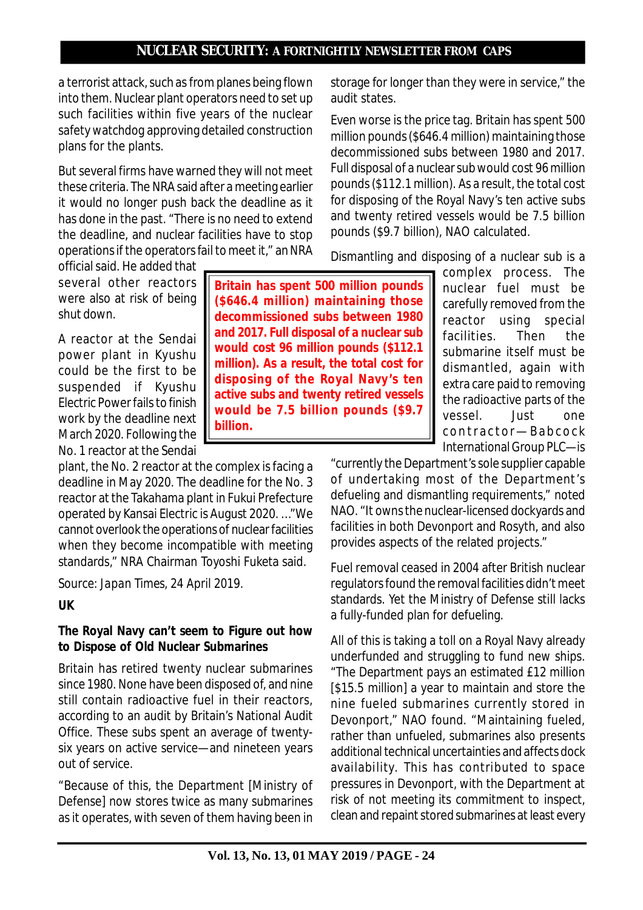a terrorist attack, such as from planes being flown into them. Nuclear plant operators need to set up such facilities within five years of the nuclear safety watchdog approving detailed construction plans for the plants.

But several firms have warned they will not meet these criteria. The NRA said after a meeting earlier it would no longer push back the deadline as it has done in the past. "There is no need to extend the deadline, and nuclear facilities have to stop operations if the operators fail to meet it," an NRA

official said. He added that several other reactors were also at risk of being shut down.

A reactor at the Sendai power plant in Kyushu could be the first to be suspended if Kyushu Electric Power fails to finish work by the deadline next March 2020. Following the No. 1 reactor at the Sendai

plant, the No. 2 reactor at the complex is facing a deadline in May 2020. The deadline for the No. 3 reactor at the Takahama plant in Fukui Prefecture operated by Kansai Electric is August 2020. …"We cannot overlook the operations of nuclear facilities when they become incompatible with meeting standards," NRA Chairman Toyoshi Fuketa said.

*Source: Japan Times, 24 April 2019.*

#### **UK**

### **The Royal Navy can't seem to Figure out how to Dispose of Old Nuclear Submarines**

Britain has retired twenty nuclear submarines since 1980. None have been disposed of, and nine still contain radioactive fuel in their reactors, according to an audit by Britain's National Audit Office. These subs spent an average of twentysix years on active service—and nineteen years out of service.

"Because of this, the Department [Ministry of Defense] now stores twice as many submarines as it operates, with seven of them having been in

storage for longer than they were in service," the audit states.

Even worse is the price tag. Britain has spent 500 million pounds (\$646.4 million) maintaining those decommissioned subs between 1980 and 2017. Full disposal of a nuclear sub would cost 96 million pounds (\$112.1 million). As a result, the total cost for disposing of the Royal Navy's ten active subs and twenty retired vessels would be 7.5 billion pounds (\$9.7 billion), NAO calculated.

Dismantling and disposing of a nuclear sub is a

**Britain has spent 500 million pounds (\$646.4 million) maintaining those decommissioned subs between 1980 and 2017. Full disposal of a nuclear sub would cost 96 million pounds (\$112.1 million). As a result, the total cost for disposing of the Royal Navy's ten active subs and twenty retired vessels would be 7.5 billion pounds (\$9.7 billion.**

complex process. The nuclear fuel must be carefully removed from the reactor using special facilities. Then the submarine itself must be dismantled, again with extra care paid to removing the radioactive parts of the vessel. Just one contractor-Babcock International Group PLC—is

"currently the Department's sole supplier capable of undertaking most of the Department's defueling and dismantling requirements," noted NAO. "It owns the nuclear-licensed dockyards and facilities in both Devonport and Rosyth, and also provides aspects of the related projects."

Fuel removal ceased in 2004 after British nuclear regulators found the removal facilities didn't meet standards. Yet the Ministry of Defense still lacks a fully-funded plan for defueling.

All of this is taking a toll on a Royal Navy already underfunded and struggling to fund new ships. "The Department pays an estimated £12 million [\$15.5 million] a year to maintain and store the nine fueled submarines currently stored in Devonport," NAO found. "Maintaining fueled, rather than unfueled, submarines also presents additional technical uncertainties and affects dock availability. This has contributed to space pressures in Devonport, with the Department at risk of not meeting its commitment to inspect, clean and repaint stored submarines at least every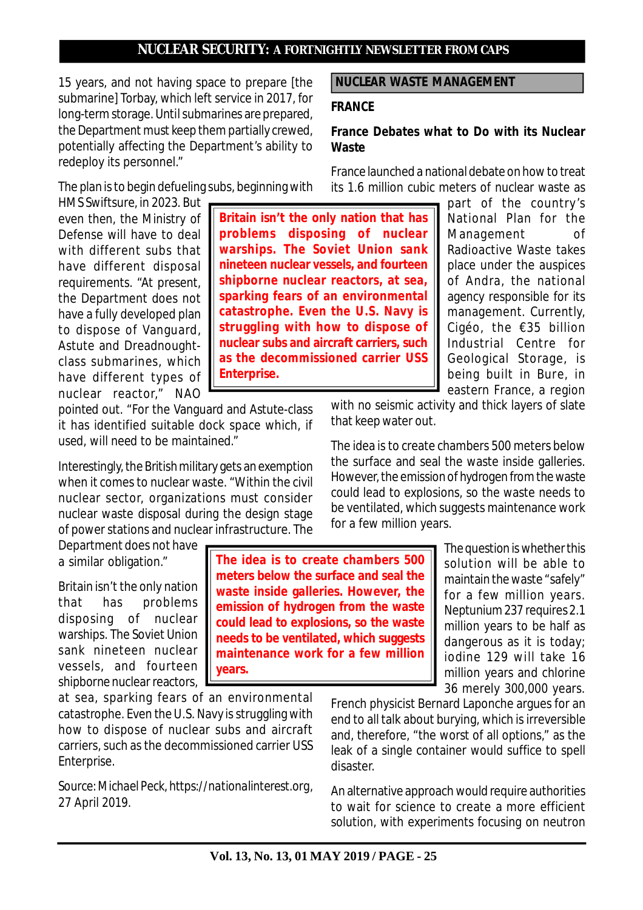15 years, and not having space to prepare [the submarine] Torbay, which left service in 2017, for long-term storage. Until submarines are prepared, the Department must keep them partially crewed, potentially affecting the Department's ability to redeploy its personnel."

The plan is to begin defueling subs, beginning with

HMS Swiftsure, in 2023. But even then, the Ministry of Defense will have to deal with different subs that have different disposal requirements. "At present, the Department does not have a fully developed plan to dispose of Vanguard, Astute and Dreadnoughtclass submarines, which have different types of nuclear reactor," NAO

pointed out. "For the Vanguard and Astute-class it has identified suitable dock space which, if used, will need to be maintained."

Interestingly, the British military gets an exemption when it comes to nuclear waste. "Within the civil nuclear sector, organizations must consider nuclear waste disposal during the design stage of power stations and nuclear infrastructure. The

Department does not have a similar obligation."

Britain isn't the only nation that has problems disposing of nuclear warships. The Soviet Union sank nineteen nuclear vessels, and fourteen shipborne nuclear reactors,

at sea, sparking fears of an environmental catastrophe. Even the U.S. Navy is struggling with how to dispose of nuclear subs and aircraft carriers, such as the decommissioned carrier USS Enterprise.

**years.**

*Source: Michael Peck, https://nationalinterest.org, 27 April 2019.*

 **NUCLEAR WASTE MANAGEMENT**

#### **FRANCE**

#### **France Debates what to Do with its Nuclear Waste**

France launched a national debate on how to treat its 1.6 million cubic meters of nuclear waste as

**Britain isn't the only nation that has problems disposing of nuclear warships. The Soviet Union sank nineteen nuclear vessels, and fourteen shipborne nuclear reactors, at sea, sparking fears of an environmental catastrophe. Even the U.S. Navy is struggling with how to dispose of nuclear subs and aircraft carriers, such as the decommissioned carrier USS Enterprise.**

part of the country's National Plan for the Management of Radioactive Waste takes place under the auspices of Andra, the national agency responsible for its management. Currently, Cigéo, the €35 billion Industrial Centre for Geological Storage, is being built in Bure, in eastern France, a region

with no seismic activity and thick layers of slate that keep water out.

The idea is to create chambers 500 meters below the surface and seal the waste inside galleries. However, the emission of hydrogen from the waste could lead to explosions, so the waste needs to be ventilated, which suggests maintenance work for a few million years.

> The question is whether this solution will be able to maintain the waste "safely" for a few million years. Neptunium 237 requires 2.1 million years to be half as dangerous as it is today; iodine 129 will take 16 million years and chlorine 36 merely 300,000 years.

French physicist Bernard Laponche argues for an end to all talk about burying, which is irreversible and, therefore, "the worst of all options," as the leak of a single container would suffice to spell disaster.

An alternative approach would require authorities to wait for science to create a more efficient solution, with experiments focusing on neutron

**The idea is to create chambers 500 meters below the surface and seal the waste inside galleries. However, the emission of hydrogen from the waste could lead to explosions, so the waste needs to be ventilated, which suggests maintenance work for a few million**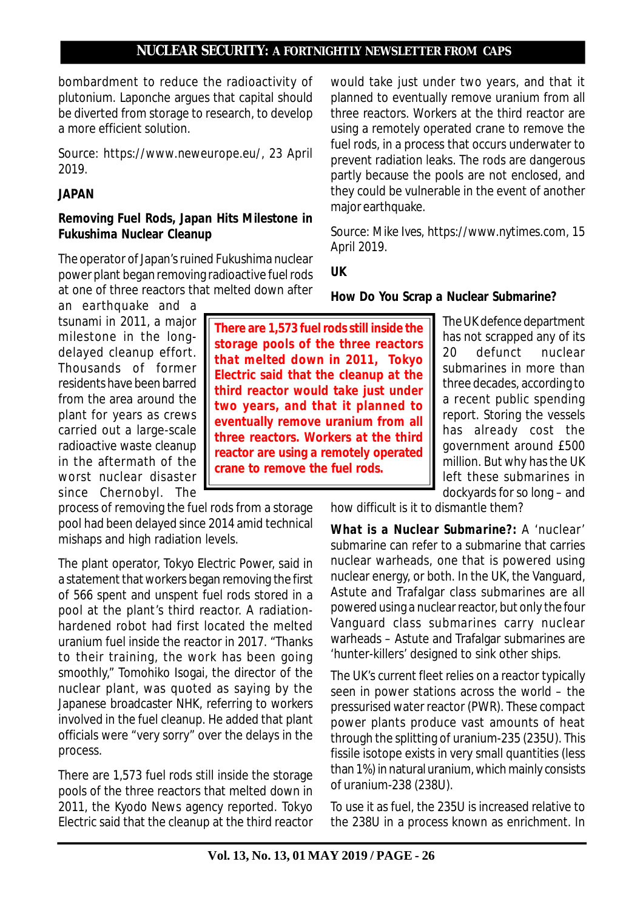bombardment to reduce the radioactivity of plutonium. Laponche argues that capital should be diverted from storage to research, to develop a more efficient solution.

*Source: https://www.neweurope.eu/, 23 April 2019.*

### **JAPAN**

### **Removing Fuel Rods, Japan Hits Milestone in Fukushima Nuclear Cleanup**

The operator of Japan's ruined Fukushima nuclear power plant began removing radioactive fuel rods at one of three reactors that melted down after

an earthquake and a tsunami in 2011, a major milestone in the longdelayed cleanup effort. Thousands of former residents have been barred from the area around the plant for years as crews carried out a large-scale radioactive waste cleanup in the aftermath of the worst nuclear disaster since Chernobyl. The

process of removing the fuel rods from a storage pool had been delayed since 2014 amid technical mishaps and high radiation levels.

The plant operator, Tokyo Electric Power, said in a statement that workers began removing the first of 566 spent and unspent fuel rods stored in a pool at the plant's third reactor. A radiationhardened robot had first located the melted uranium fuel inside the reactor in 2017. "Thanks to their training, the work has been going smoothly," Tomohiko Isogai, the director of the nuclear plant, was quoted as saying by the Japanese broadcaster NHK, referring to workers involved in the fuel cleanup. He added that plant officials were "very sorry" over the delays in the process.

There are 1,573 fuel rods still inside the storage pools of the three reactors that melted down in 2011, the Kyodo News agency reported. Tokyo Electric said that the cleanup at the third reactor

would take just under two years, and that it planned to eventually remove uranium from all three reactors. Workers at the third reactor are using a remotely operated crane to remove the fuel rods, in a process that occurs underwater to prevent radiation leaks. The rods are dangerous partly because the pools are not enclosed, and they could be vulnerable in the event of another major earthquake.

*Source: Mike Ives, https://www.nytimes.com, 15 April 2019.*

**UK**

#### **How Do You Scrap a Nuclear Submarine?**

The UK defence department has not scrapped any of its 20 defunct nuclear submarines in more than three decades, according to a recent public spending report. Storing the vessels has already cost the government around £500 million. But why has the UK left these submarines in dockyards for so long – and

**There are 1,573 fuel rods still inside the storage pools of the three reactors that melted down in 2011, Tokyo Electric said that the cleanup at the third reactor would take just under two years, and that it planned to eventually remove uranium from all three reactors. Workers at the third reactor are using a remotely operated crane to remove the fuel rods.**

how difficult is it to dismantle them?

*What is a Nuclear Submarine?:* A 'nuclear' submarine can refer to a submarine that carries nuclear warheads, one that is powered using nuclear energy, or both. In the UK, the Vanguard, Astute and Trafalgar class submarines are all powered using a nuclear reactor, but only the four Vanguard class submarines carry nuclear warheads – Astute and Trafalgar submarines are 'hunter-killers' designed to sink other ships.

The UK's current fleet relies on a reactor typically seen in power stations across the world – the pressurised water reactor (PWR). These compact power plants produce vast amounts of heat through the splitting of uranium-235 (235U). This fissile isotope exists in very small quantities (less than 1%) in natural uranium, which mainly consists of uranium-238 (238U).

To use it as fuel, the 235U is increased relative to the 238U in a process known as enrichment. In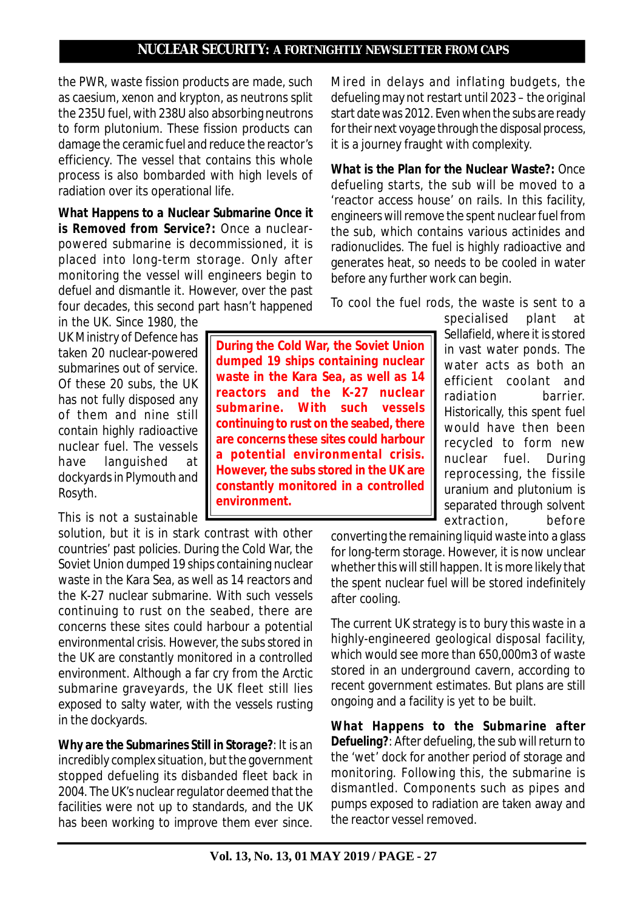the PWR, waste fission products are made, such as caesium, xenon and krypton, as neutrons split the 235U fuel, with 238U also absorbing neutrons to form plutonium. These fission products can damage the ceramic fuel and reduce the reactor's efficiency. The vessel that contains this whole process is also bombarded with high levels of radiation over its operational life.

*What Happens to a Nuclear Submarine Once it is Removed from Service?:* Once a nuclearpowered submarine is decommissioned, it is placed into long-term storage. Only after monitoring the vessel will engineers begin to defuel and dismantle it. However, over the past four decades, this second part hasn't happened

in the UK. Since 1980, the UK Ministry of Defence has taken 20 nuclear-powered submarines out of service. Of these 20 subs, the UK has not fully disposed any of them and nine still contain highly radioactive nuclear fuel. The vessels have languished at dockyards in Plymouth and Rosyth.

This is not a sustainable

solution, but it is in stark contrast with other countries' past policies. During the Cold War, the Soviet Union dumped 19 ships containing nuclear waste in the Kara Sea, as well as 14 reactors and the K-27 nuclear submarine. With such vessels continuing to rust on the seabed, there are concerns these sites could harbour a potential environmental crisis. However, the subs stored in the UK are constantly monitored in a controlled environment. Although a far cry from the Arctic submarine graveyards, the UK fleet still lies exposed to salty water, with the vessels rusting in the dockyards.

*Why are the Submarines Still in Storage?*: It is an incredibly complex situation, but the government stopped defueling its disbanded fleet back in 2004. The UK's nuclear regulator deemed that the facilities were not up to standards, and the UK has been working to improve them ever since.

Mired in delays and inflating budgets, the defueling may not restart until 2023 – the original start date was 2012. Even when the subs are ready for their next voyage through the disposal process, it is a journey fraught with complexity.

*What is the Plan for the Nuclear Waste?:* Once defueling starts, the sub will be moved to a 'reactor access house' on rails. In this facility, engineers will remove the spent nuclear fuel from the sub, which contains various actinides and radionuclides. The fuel is highly radioactive and generates heat, so needs to be cooled in water before any further work can begin.

To cool the fuel rods, the waste is sent to a

specialised plant at Sellafield, where it is stored in vast water ponds. The water acts as both an efficient coolant and radiation barrier. Historically, this spent fuel would have then been recycled to form new nuclear fuel. During reprocessing, the fissile uranium and plutonium is separated through solvent extraction, before

**During the Cold War, the Soviet Union dumped 19 ships containing nuclear waste in the Kara Sea, as well as 14 reactors and the K-27 nuclear submarine. With such vessels continuing to rust on the seabed, there are concerns these sites could harbour a potential environmental crisis. However, the subs stored in the UK are constantly monitored in a controlled environment.**

> converting the remaining liquid waste into a glass for long-term storage. However, it is now unclear whether this will still happen. It is more likely that the spent nuclear fuel will be stored indefinitely after cooling.

> The current UK strategy is to bury this waste in a highly-engineered geological disposal facility, which would see more than 650,000m3 of waste stored in an underground cavern, according to recent government estimates. But plans are still ongoing and a facility is yet to be built.

> *What Happens to the Submarine after Defueling?*: After defueling, the sub will return to the 'wet' dock for another period of storage and monitoring. Following this, the submarine is dismantled. Components such as pipes and pumps exposed to radiation are taken away and the reactor vessel removed.